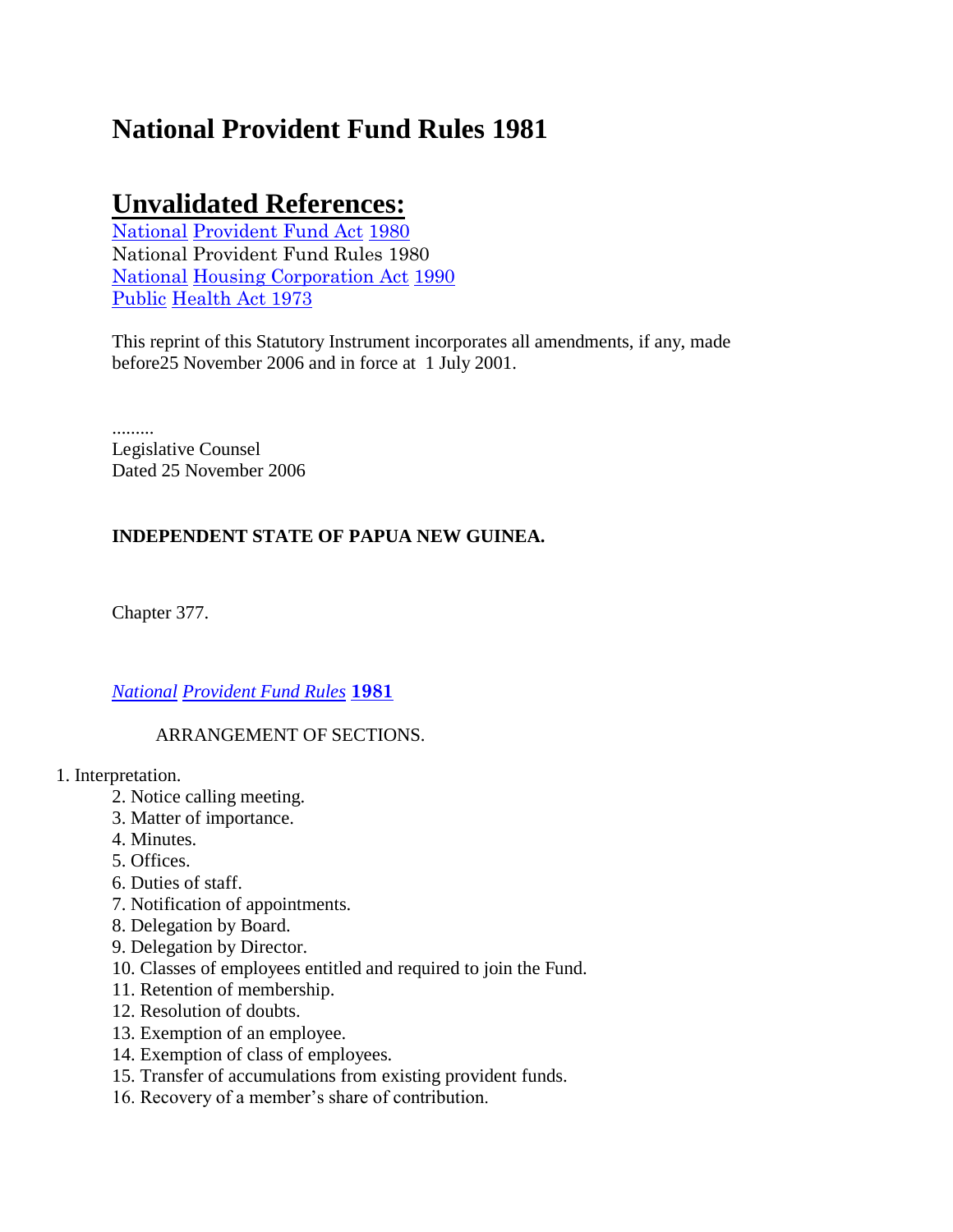# **National Provident Fund Rules 1981**

# **Unvalidated References:**

[National](http://www.paclii.org/pg/legis/consol_act/npfa1980254/) [Provident Fund Act](http://www.paclii.org/pg/legis/consol_act/npfa1980254/) [1980](http://www.paclii.org/pg/legis/consol_act/npfa1980254/) National Provident Fund Rules 1980 [National](http://www.paclii.org/pg/legis/consol_act/nhca1990318/) [Housing Corporation Act](http://www.paclii.org/pg/legis/consol_act/nhca1990318/) [1990](http://www.paclii.org/pg/legis/consol_act/nhca1990318/) [Public](http://www.paclii.org/pg/legis/consol_act/pha1973126/) [Health Act 1973](http://www.paclii.org/pg/legis/consol_act/pha1973126/)

This reprint of this Statutory Instrument incorporates all amendments, if any, made before25 November 2006 and in force at 1 July 2001.

......... Legislative Counsel Dated 25 November 2006

# **INDEPENDENT STATE OF PAPUA NEW GUINEA.**

Chapter 377.

# *[National](http://www.paclii.org/pg/legis/consol_act/npfr1981303/) [Provident Fund Rules](http://www.paclii.org/pg/legis/consol_act/npfr1981303/)* **[1981](http://www.paclii.org/pg/legis/consol_act/npfr1981303/)**

# ARRANGEMENT OF SECTIONS.

#### 1. Interpretation.

- 2. Notice calling meeting.
- 3. Matter of importance.
- 4. Minutes.
- 5. Offices.
- 6. Duties of staff.
- 7. Notification of appointments.
- 8. Delegation by Board.
- 9. Delegation by Director.
- 10. Classes of employees entitled and required to join the Fund.
- 11. Retention of membership.
- 12. Resolution of doubts.
- 13. Exemption of an employee.
- 14. Exemption of class of employees.
- 15. Transfer of accumulations from existing provident funds.
- 16. Recovery of a member"s share of contribution.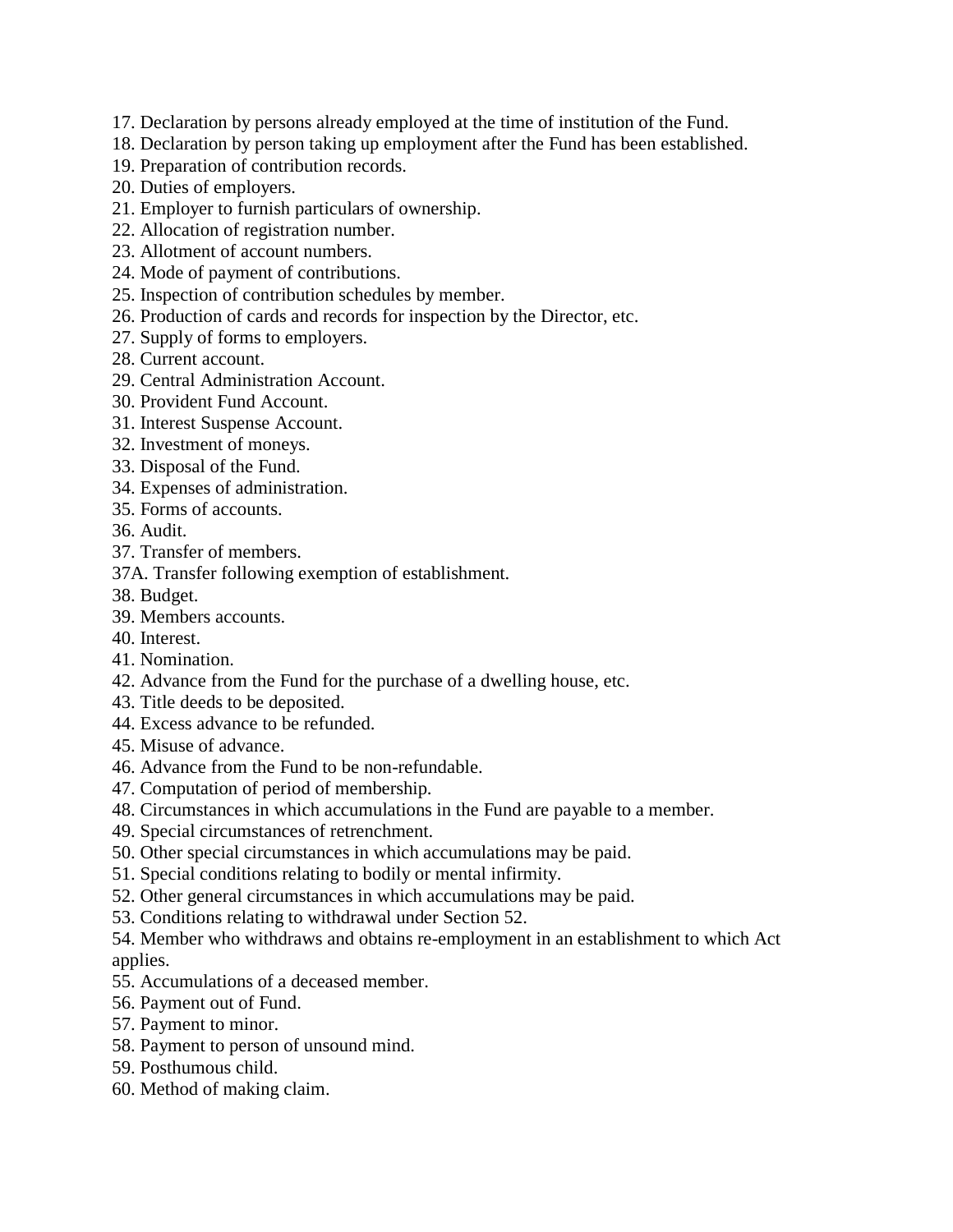- 17. Declaration by persons already employed at the time of institution of the Fund.
- 18. Declaration by person taking up employment after the Fund has been established.
- 19. Preparation of contribution records.
- 20. Duties of employers.
- 21. Employer to furnish particulars of ownership.
- 22. Allocation of registration number.
- 23. Allotment of account numbers.
- 24. Mode of payment of contributions.
- 25. Inspection of contribution schedules by member.
- 26. Production of cards and records for inspection by the Director, etc.
- 27. Supply of forms to employers.
- 28. Current account.
- 29. Central Administration Account.
- 30. Provident Fund Account.
- 31. Interest Suspense Account.
- 32. Investment of moneys.
- 33. Disposal of the Fund.
- 34. Expenses of administration.
- 35. Forms of accounts.
- 36. Audit.
- 37. Transfer of members.
- 37A. Transfer following exemption of establishment.
- 38. Budget.
- 39. Members accounts.
- 40. Interest.
- 41. Nomination.
- 42. Advance from the Fund for the purchase of a dwelling house, etc.
- 43. Title deeds to be deposited.
- 44. Excess advance to be refunded.
- 45. Misuse of advance.
- 46. Advance from the Fund to be non-refundable.
- 47. Computation of period of membership.
- 48. Circumstances in which accumulations in the Fund are payable to a member.
- 49. Special circumstances of retrenchment.
- 50. Other special circumstances in which accumulations may be paid.
- 51. Special conditions relating to bodily or mental infirmity.
- 52. Other general circumstances in which accumulations may be paid.
- 53. Conditions relating to withdrawal under Section 52.
- 54. Member who withdraws and obtains re-employment in an establishment to which Act applies.
- 55. Accumulations of a deceased member.
- 56. Payment out of Fund.
- 57. Payment to minor.
- 58. Payment to person of unsound mind.
- 59. Posthumous child.
- 60. Method of making claim.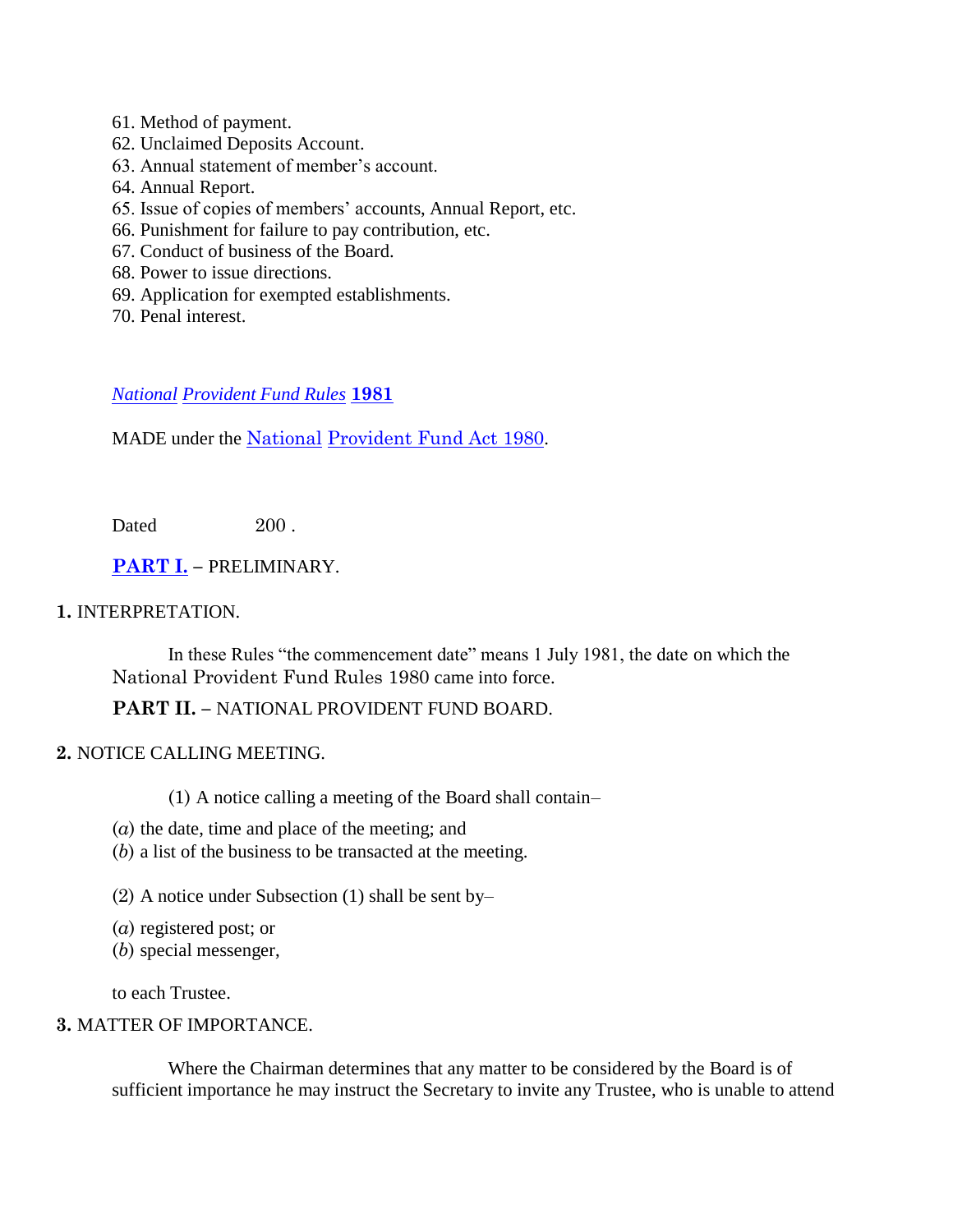- 61. Method of payment.
- 62. Unclaimed Deposits Account.
- 63. Annual statement of member"s account.
- 64. Annual Report.
- 65. Issue of copies of members" accounts, Annual Report, etc.
- 66. Punishment for failure to pay contribution, etc.
- 67. Conduct of business of the Board.
- 68. Power to issue directions.
- 69. Application for exempted establishments.
- 70. Penal interest.

#### *[National](http://www.paclii.org/pg/legis/consol_act/npfr1981303/) [Provident Fund Rules](http://www.paclii.org/pg/legis/consol_act/npfr1981303/)* **[1981](http://www.paclii.org/pg/legis/consol_act/npfr1981303/)**

MADE under the [National](http://www.paclii.org/pg/legis/consol_act/npfa1980254/) [Provident Fund Act 1980](http://www.paclii.org/pg/legis/consol_act/npfa1980254/).

Dated 200

**[PART I.](http://www.paclii.org/pg/legis/consol_act/npfa1980254/index.html#p1) –** PRELIMINARY.

#### **1.** INTERPRETATION.

In these Rules "the commencement date" means 1 July 1981, the date on which the National Provident Fund Rules 1980 came into force.

#### **PART II. –** NATIONAL PROVIDENT FUND BOARD.

#### **2.** NOTICE CALLING MEETING.

(1) A notice calling a meeting of the Board shall contain–

- (*a*) the date, time and place of the meeting; and
- (*b*) a list of the business to be transacted at the meeting.
- (2) A notice under Subsection (1) shall be sent by–
- (*a*) registered post; or
- (*b*) special messenger,

to each Trustee.

## **3.** MATTER OF IMPORTANCE.

Where the Chairman determines that any matter to be considered by the Board is of sufficient importance he may instruct the Secretary to invite any Trustee, who is unable to attend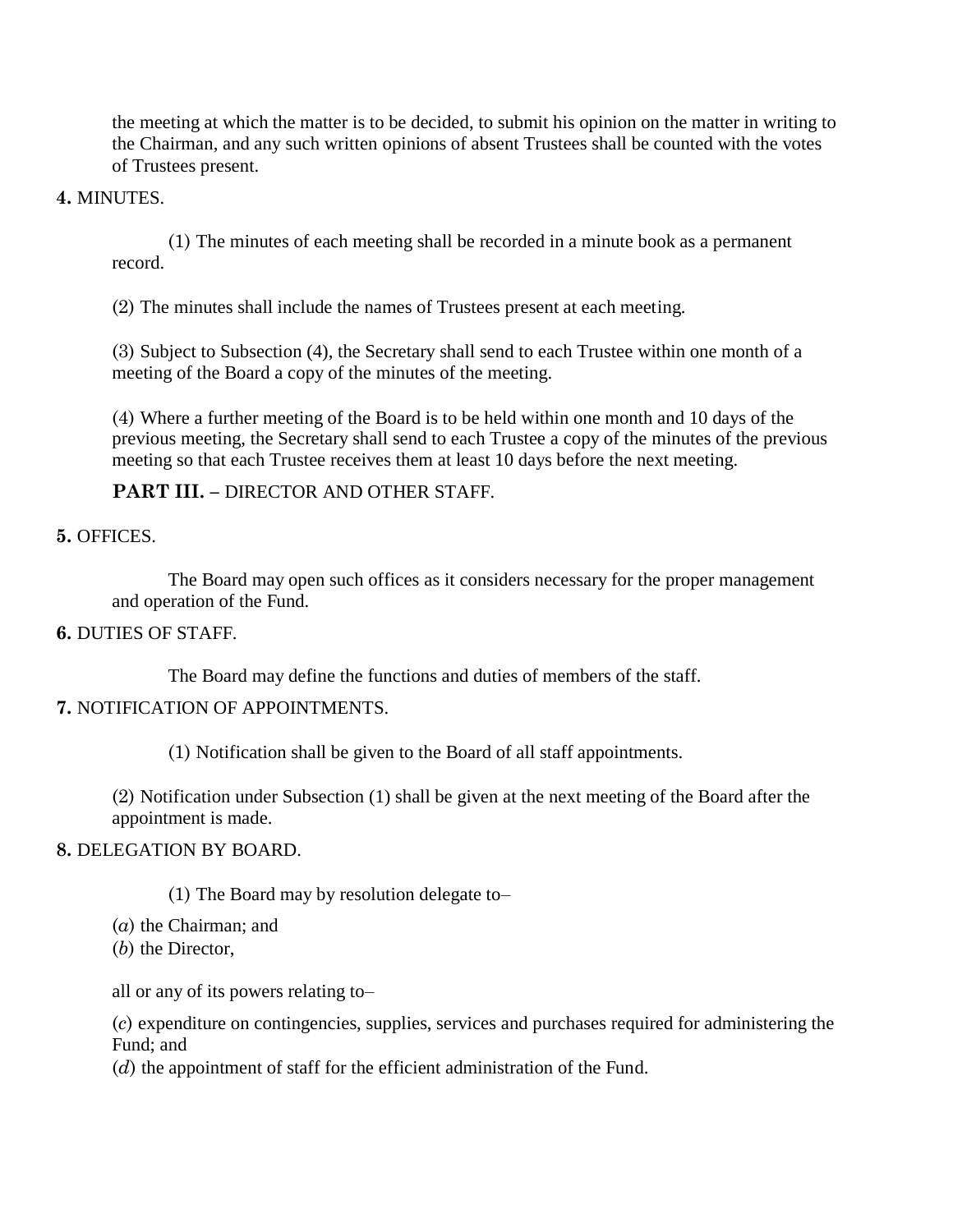the meeting at which the matter is to be decided, to submit his opinion on the matter in writing to the Chairman, and any such written opinions of absent Trustees shall be counted with the votes of Trustees present.

## **4.** MINUTES.

(1) The minutes of each meeting shall be recorded in a minute book as a permanent record.

(2) The minutes shall include the names of Trustees present at each meeting.

(3) Subject to Subsection (4), the Secretary shall send to each Trustee within one month of a meeting of the Board a copy of the minutes of the meeting.

(4) Where a further meeting of the Board is to be held within one month and 10 days of the previous meeting, the Secretary shall send to each Trustee a copy of the minutes of the previous meeting so that each Trustee receives them at least 10 days before the next meeting.

# **PART III. –** DIRECTOR AND OTHER STAFF.

**5.** OFFICES.

The Board may open such offices as it considers necessary for the proper management and operation of the Fund.

# **6.** DUTIES OF STAFF.

The Board may define the functions and duties of members of the staff.

# **7.** NOTIFICATION OF APPOINTMENTS.

(1) Notification shall be given to the Board of all staff appointments.

(2) Notification under Subsection (1) shall be given at the next meeting of the Board after the appointment is made.

#### **8.** DELEGATION BY BOARD.

(1) The Board may by resolution delegate to–

(*a*) the Chairman; and

(*b*) the Director,

all or any of its powers relating to–

(*c*) expenditure on contingencies, supplies, services and purchases required for administering the Fund; and

(*d*) the appointment of staff for the efficient administration of the Fund.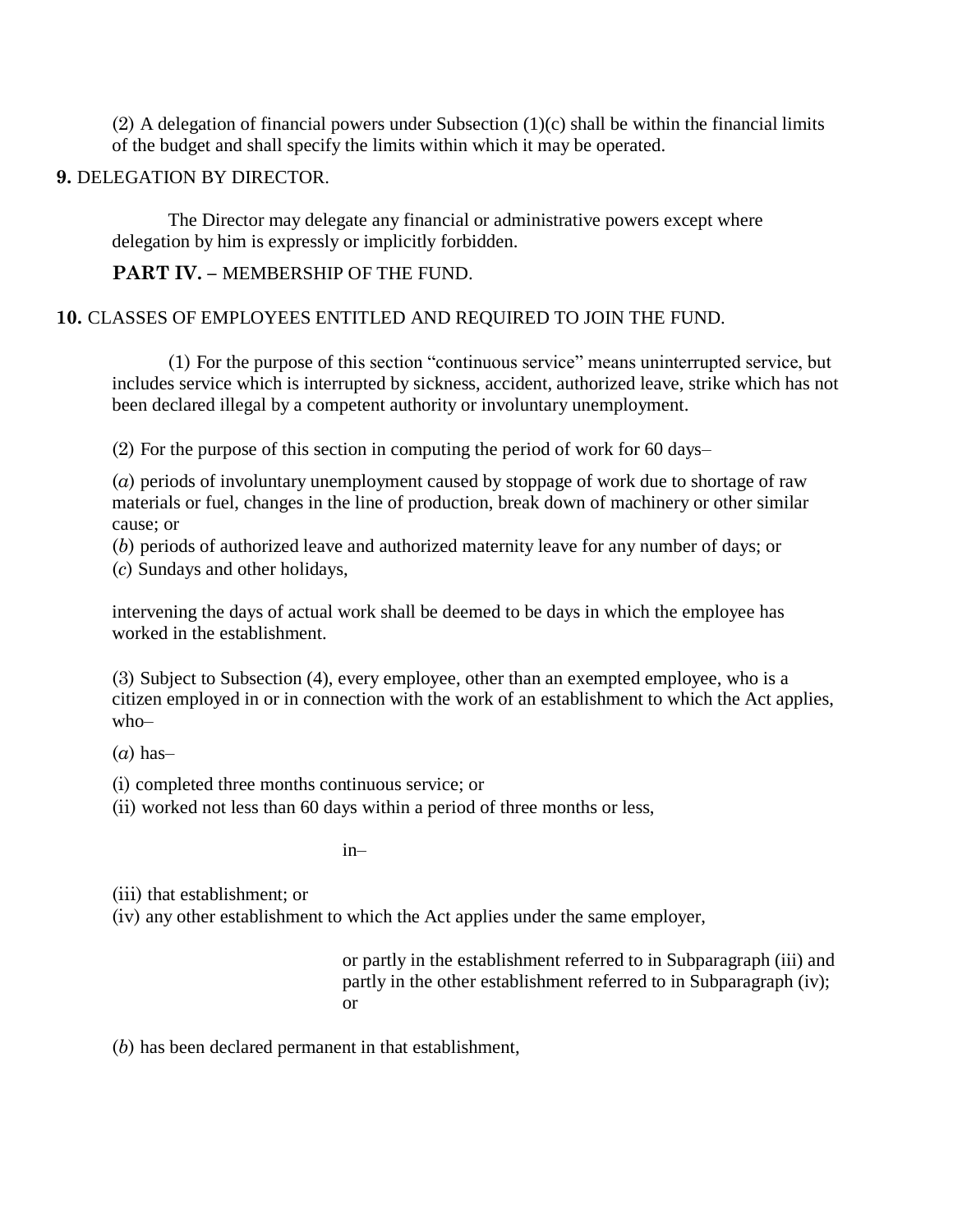$(2)$  A delegation of financial powers under Subsection  $(1)(c)$  shall be within the financial limits of the budget and shall specify the limits within which it may be operated.

## **9.** DELEGATION BY DIRECTOR.

The Director may delegate any financial or administrative powers except where delegation by him is expressly or implicitly forbidden.

# PART IV. - MEMBERSHIP OF THE FUND.

# **10.** CLASSES OF EMPLOYEES ENTITLED AND REQUIRED TO JOIN THE FUND.

(1) For the purpose of this section "continuous service" means uninterrupted service, but includes service which is interrupted by sickness, accident, authorized leave, strike which has not been declared illegal by a competent authority or involuntary unemployment.

(2) For the purpose of this section in computing the period of work for 60 days–

(*a*) periods of involuntary unemployment caused by stoppage of work due to shortage of raw materials or fuel, changes in the line of production, break down of machinery or other similar cause; or

(*b*) periods of authorized leave and authorized maternity leave for any number of days; or (*c*) Sundays and other holidays,

intervening the days of actual work shall be deemed to be days in which the employee has worked in the establishment.

(3) Subject to Subsection (4), every employee, other than an exempted employee, who is a citizen employed in or in connection with the work of an establishment to which the Act applies, who–

(*a*) has–

(i) completed three months continuous service; or

(ii) worked not less than 60 days within a period of three months or less,

in–

(iii) that establishment; or

(iv) any other establishment to which the Act applies under the same employer,

or partly in the establishment referred to in Subparagraph (iii) and partly in the other establishment referred to in Subparagraph (iv); or

(*b*) has been declared permanent in that establishment,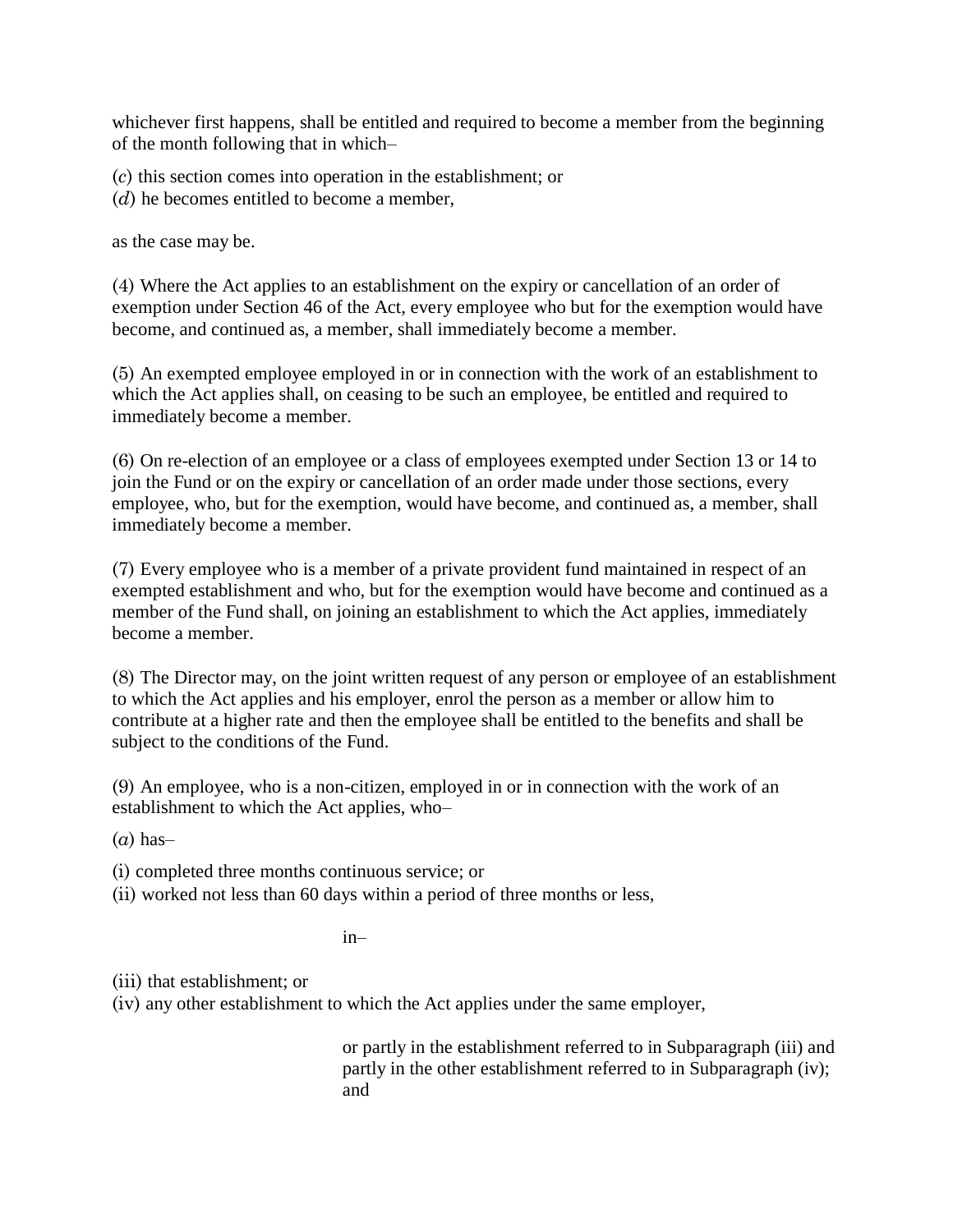whichever first happens, shall be entitled and required to become a member from the beginning of the month following that in which–

(*c*) this section comes into operation in the establishment; or

(*d*) he becomes entitled to become a member,

as the case may be.

(4) Where the Act applies to an establishment on the expiry or cancellation of an order of exemption under Section 46 of the Act, every employee who but for the exemption would have become, and continued as, a member, shall immediately become a member.

(5) An exempted employee employed in or in connection with the work of an establishment to which the Act applies shall, on ceasing to be such an employee, be entitled and required to immediately become a member.

(6) On re-election of an employee or a class of employees exempted under Section 13 or 14 to join the Fund or on the expiry or cancellation of an order made under those sections, every employee, who, but for the exemption, would have become, and continued as, a member, shall immediately become a member.

(7) Every employee who is a member of a private provident fund maintained in respect of an exempted establishment and who, but for the exemption would have become and continued as a member of the Fund shall, on joining an establishment to which the Act applies, immediately become a member.

(8) The Director may, on the joint written request of any person or employee of an establishment to which the Act applies and his employer, enrol the person as a member or allow him to contribute at a higher rate and then the employee shall be entitled to the benefits and shall be subject to the conditions of the Fund.

(9) An employee, who is a non-citizen, employed in or in connection with the work of an establishment to which the Act applies, who–

(*a*) has–

(i) completed three months continuous service; or

(ii) worked not less than 60 days within a period of three months or less,

in–

(iii) that establishment; or

(iv) any other establishment to which the Act applies under the same employer,

or partly in the establishment referred to in Subparagraph (iii) and partly in the other establishment referred to in Subparagraph (iv); and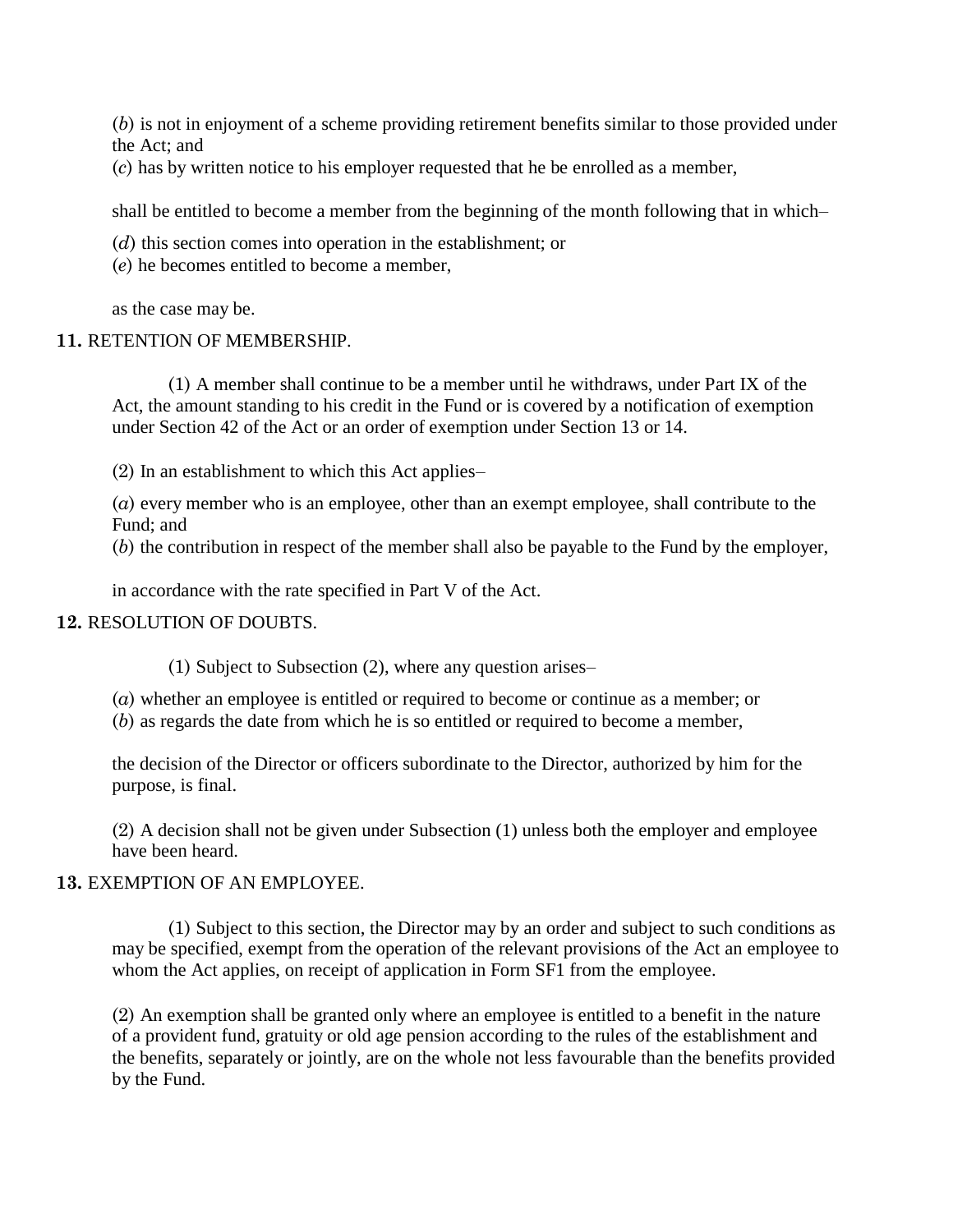(*b*) is not in enjoyment of a scheme providing retirement benefits similar to those provided under the Act; and

(*c*) has by written notice to his employer requested that he be enrolled as a member,

shall be entitled to become a member from the beginning of the month following that in which–

(*d*) this section comes into operation in the establishment; or

(*e*) he becomes entitled to become a member,

as the case may be.

## **11.** RETENTION OF MEMBERSHIP.

(1) A member shall continue to be a member until he withdraws, under Part IX of the Act, the amount standing to his credit in the Fund or is covered by a notification of exemption under Section 42 of the Act or an order of exemption under Section 13 or 14.

(2) In an establishment to which this Act applies–

(*a*) every member who is an employee, other than an exempt employee, shall contribute to the Fund; and

(*b*) the contribution in respect of the member shall also be payable to the Fund by the employer,

in accordance with the rate specified in Part V of the Act.

## **12.** RESOLUTION OF DOUBTS.

(1) Subject to Subsection (2), where any question arises–

(*a*) whether an employee is entitled or required to become or continue as a member; or

(*b*) as regards the date from which he is so entitled or required to become a member,

the decision of the Director or officers subordinate to the Director, authorized by him for the purpose, is final.

(2) A decision shall not be given under Subsection (1) unless both the employer and employee have been heard.

# **13.** EXEMPTION OF AN EMPLOYEE.

(1) Subject to this section, the Director may by an order and subject to such conditions as may be specified, exempt from the operation of the relevant provisions of the Act an employee to whom the Act applies, on receipt of application in Form SF1 from the employee.

(2) An exemption shall be granted only where an employee is entitled to a benefit in the nature of a provident fund, gratuity or old age pension according to the rules of the establishment and the benefits, separately or jointly, are on the whole not less favourable than the benefits provided by the Fund.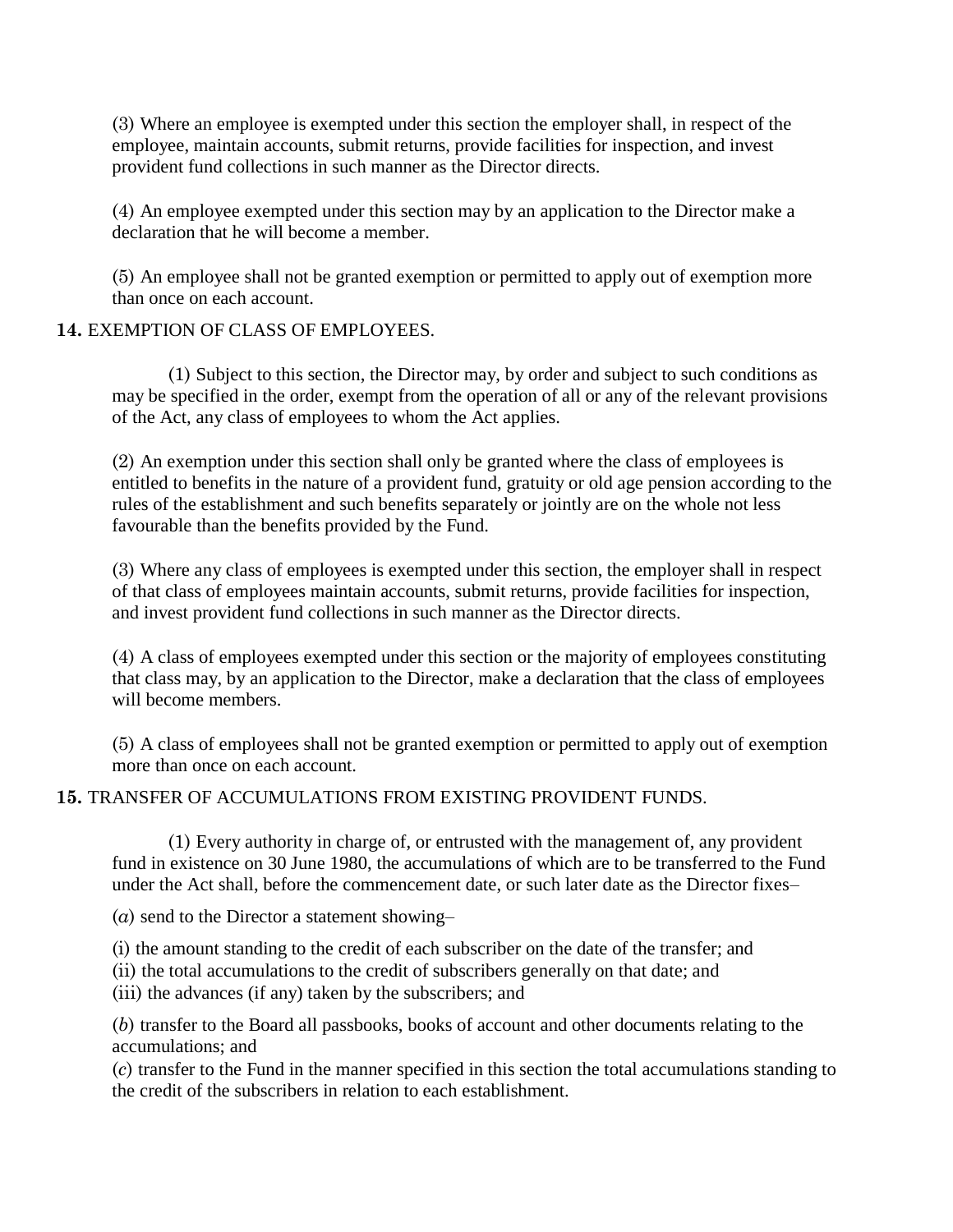(3) Where an employee is exempted under this section the employer shall, in respect of the employee, maintain accounts, submit returns, provide facilities for inspection, and invest provident fund collections in such manner as the Director directs.

(4) An employee exempted under this section may by an application to the Director make a declaration that he will become a member.

(5) An employee shall not be granted exemption or permitted to apply out of exemption more than once on each account.

## **14.** EXEMPTION OF CLASS OF EMPLOYEES.

(1) Subject to this section, the Director may, by order and subject to such conditions as may be specified in the order, exempt from the operation of all or any of the relevant provisions of the Act, any class of employees to whom the Act applies.

(2) An exemption under this section shall only be granted where the class of employees is entitled to benefits in the nature of a provident fund, gratuity or old age pension according to the rules of the establishment and such benefits separately or jointly are on the whole not less favourable than the benefits provided by the Fund.

(3) Where any class of employees is exempted under this section, the employer shall in respect of that class of employees maintain accounts, submit returns, provide facilities for inspection, and invest provident fund collections in such manner as the Director directs.

(4) A class of employees exempted under this section or the majority of employees constituting that class may, by an application to the Director, make a declaration that the class of employees will become members.

(5) A class of employees shall not be granted exemption or permitted to apply out of exemption more than once on each account.

# **15.** TRANSFER OF ACCUMULATIONS FROM EXISTING PROVIDENT FUNDS.

(1) Every authority in charge of, or entrusted with the management of, any provident fund in existence on 30 June 1980, the accumulations of which are to be transferred to the Fund under the Act shall, before the commencement date, or such later date as the Director fixes–

(*a*) send to the Director a statement showing–

(i) the amount standing to the credit of each subscriber on the date of the transfer; and

(ii) the total accumulations to the credit of subscribers generally on that date; and

(iii) the advances (if any) taken by the subscribers; and

(*b*) transfer to the Board all passbooks, books of account and other documents relating to the accumulations; and

(*c*) transfer to the Fund in the manner specified in this section the total accumulations standing to the credit of the subscribers in relation to each establishment.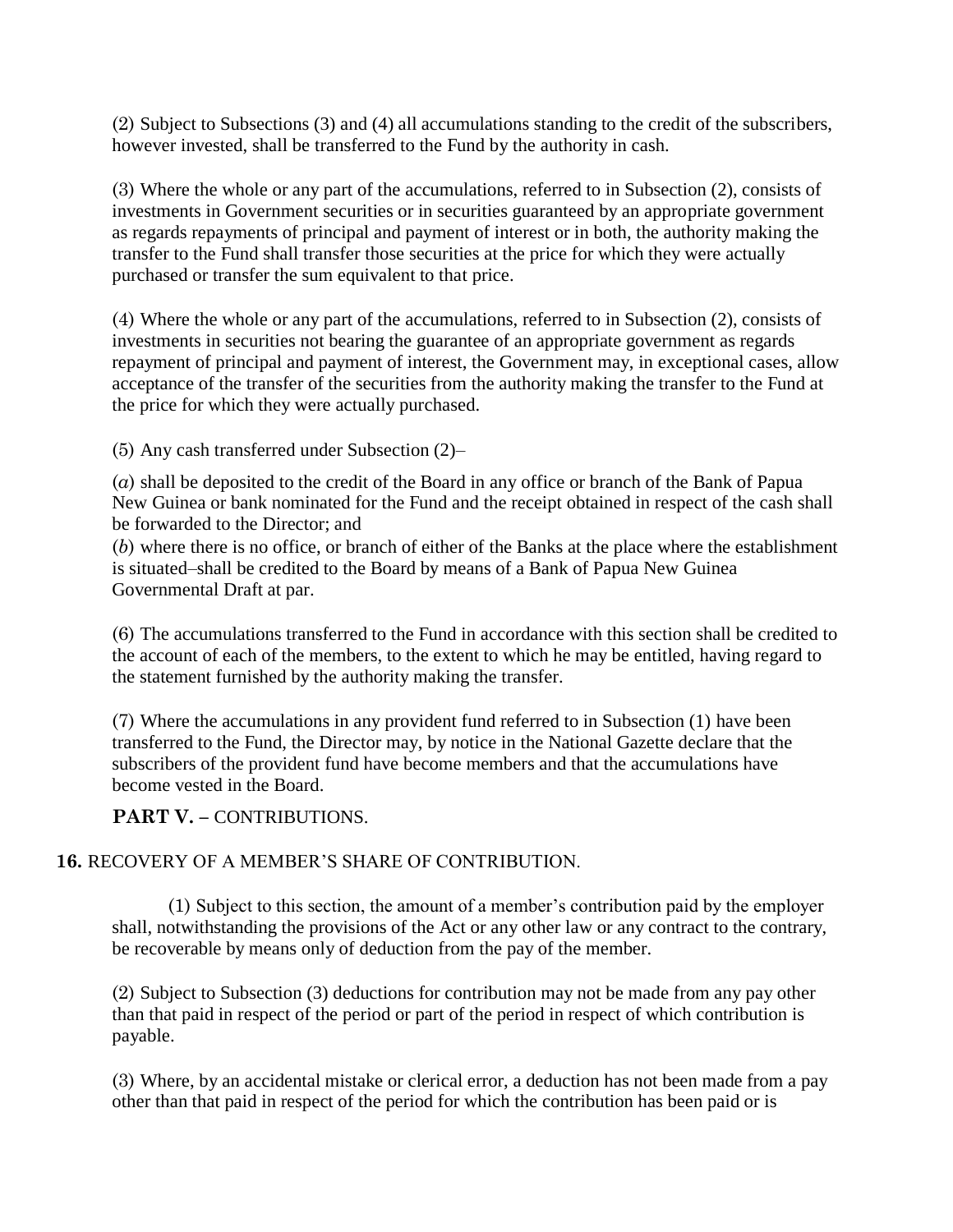(2) Subject to Subsections (3) and (4) all accumulations standing to the credit of the subscribers, however invested, shall be transferred to the Fund by the authority in cash.

(3) Where the whole or any part of the accumulations, referred to in Subsection (2), consists of investments in Government securities or in securities guaranteed by an appropriate government as regards repayments of principal and payment of interest or in both, the authority making the transfer to the Fund shall transfer those securities at the price for which they were actually purchased or transfer the sum equivalent to that price.

(4) Where the whole or any part of the accumulations, referred to in Subsection (2), consists of investments in securities not bearing the guarantee of an appropriate government as regards repayment of principal and payment of interest, the Government may, in exceptional cases, allow acceptance of the transfer of the securities from the authority making the transfer to the Fund at the price for which they were actually purchased.

(5) Any cash transferred under Subsection (2)–

(*a*) shall be deposited to the credit of the Board in any office or branch of the Bank of Papua New Guinea or bank nominated for the Fund and the receipt obtained in respect of the cash shall be forwarded to the Director; and

(*b*) where there is no office, or branch of either of the Banks at the place where the establishment is situated–shall be credited to the Board by means of a Bank of Papua New Guinea Governmental Draft at par.

(6) The accumulations transferred to the Fund in accordance with this section shall be credited to the account of each of the members, to the extent to which he may be entitled, having regard to the statement furnished by the authority making the transfer.

(7) Where the accumulations in any provident fund referred to in Subsection (1) have been transferred to the Fund, the Director may, by notice in the National Gazette declare that the subscribers of the provident fund have become members and that the accumulations have become vested in the Board.

**PART V. – CONTRIBUTIONS.** 

# **16.** RECOVERY OF A MEMBER"S SHARE OF CONTRIBUTION.

(1) Subject to this section, the amount of a member"s contribution paid by the employer shall, notwithstanding the provisions of the Act or any other law or any contract to the contrary, be recoverable by means only of deduction from the pay of the member.

(2) Subject to Subsection (3) deductions for contribution may not be made from any pay other than that paid in respect of the period or part of the period in respect of which contribution is payable.

(3) Where, by an accidental mistake or clerical error, a deduction has not been made from a pay other than that paid in respect of the period for which the contribution has been paid or is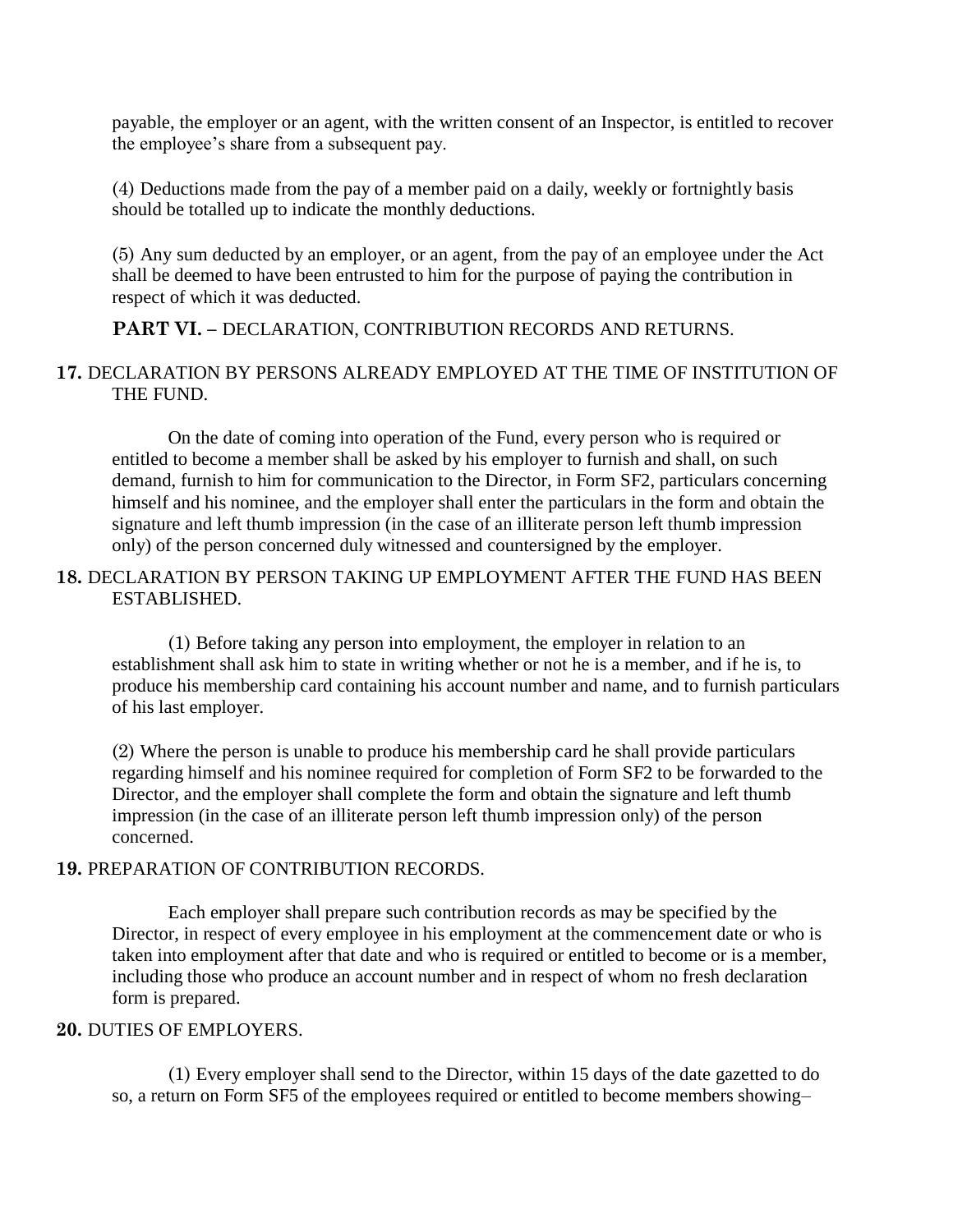payable, the employer or an agent, with the written consent of an Inspector, is entitled to recover the employee"s share from a subsequent pay.

(4) Deductions made from the pay of a member paid on a daily, weekly or fortnightly basis should be totalled up to indicate the monthly deductions.

(5) Any sum deducted by an employer, or an agent, from the pay of an employee under the Act shall be deemed to have been entrusted to him for the purpose of paying the contribution in respect of which it was deducted.

## **PART VI. –** DECLARATION, CONTRIBUTION RECORDS AND RETURNS.

## **17.** DECLARATION BY PERSONS ALREADY EMPLOYED AT THE TIME OF INSTITUTION OF THE FUND.

On the date of coming into operation of the Fund, every person who is required or entitled to become a member shall be asked by his employer to furnish and shall, on such demand, furnish to him for communication to the Director, in Form SF2, particulars concerning himself and his nominee, and the employer shall enter the particulars in the form and obtain the signature and left thumb impression (in the case of an illiterate person left thumb impression only) of the person concerned duly witnessed and countersigned by the employer.

# **18.** DECLARATION BY PERSON TAKING UP EMPLOYMENT AFTER THE FUND HAS BEEN ESTABLISHED.

(1) Before taking any person into employment, the employer in relation to an establishment shall ask him to state in writing whether or not he is a member, and if he is, to produce his membership card containing his account number and name, and to furnish particulars of his last employer.

(2) Where the person is unable to produce his membership card he shall provide particulars regarding himself and his nominee required for completion of Form SF2 to be forwarded to the Director, and the employer shall complete the form and obtain the signature and left thumb impression (in the case of an illiterate person left thumb impression only) of the person concerned.

#### **19.** PREPARATION OF CONTRIBUTION RECORDS.

Each employer shall prepare such contribution records as may be specified by the Director, in respect of every employee in his employment at the commencement date or who is taken into employment after that date and who is required or entitled to become or is a member, including those who produce an account number and in respect of whom no fresh declaration form is prepared.

#### **20.** DUTIES OF EMPLOYERS.

(1) Every employer shall send to the Director, within 15 days of the date gazetted to do so, a return on Form SF5 of the employees required or entitled to become members showing–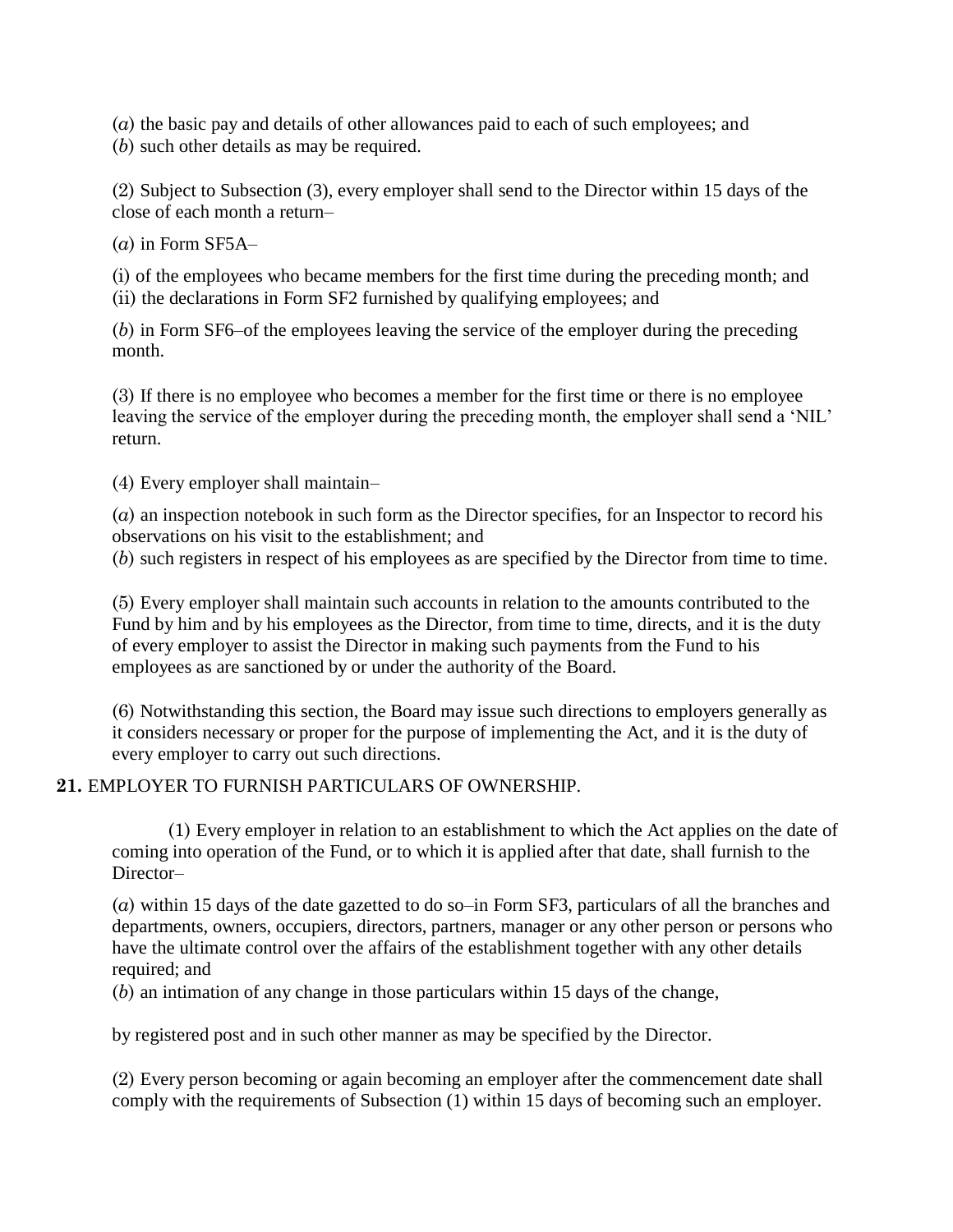(*a*) the basic pay and details of other allowances paid to each of such employees; and (*b*) such other details as may be required.

(2) Subject to Subsection (3), every employer shall send to the Director within 15 days of the close of each month a return–

 $(a)$  in Form SF5A $-$ 

(i) of the employees who became members for the first time during the preceding month; and (ii) the declarations in Form SF2 furnished by qualifying employees; and

(*b*) in Form SF6–of the employees leaving the service of the employer during the preceding month.

(3) If there is no employee who becomes a member for the first time or there is no employee leaving the service of the employer during the preceding month, the employer shall send a 'NIL' return.

(4) Every employer shall maintain–

(*a*) an inspection notebook in such form as the Director specifies, for an Inspector to record his observations on his visit to the establishment; and

(*b*) such registers in respect of his employees as are specified by the Director from time to time.

(5) Every employer shall maintain such accounts in relation to the amounts contributed to the Fund by him and by his employees as the Director, from time to time, directs, and it is the duty of every employer to assist the Director in making such payments from the Fund to his employees as are sanctioned by or under the authority of the Board.

(6) Notwithstanding this section, the Board may issue such directions to employers generally as it considers necessary or proper for the purpose of implementing the Act, and it is the duty of every employer to carry out such directions.

# **21.** EMPLOYER TO FURNISH PARTICULARS OF OWNERSHIP.

(1) Every employer in relation to an establishment to which the Act applies on the date of coming into operation of the Fund, or to which it is applied after that date, shall furnish to the Director–

(*a*) within 15 days of the date gazetted to do so–in Form SF3, particulars of all the branches and departments, owners, occupiers, directors, partners, manager or any other person or persons who have the ultimate control over the affairs of the establishment together with any other details required; and

(*b*) an intimation of any change in those particulars within 15 days of the change,

by registered post and in such other manner as may be specified by the Director.

(2) Every person becoming or again becoming an employer after the commencement date shall comply with the requirements of Subsection (1) within 15 days of becoming such an employer.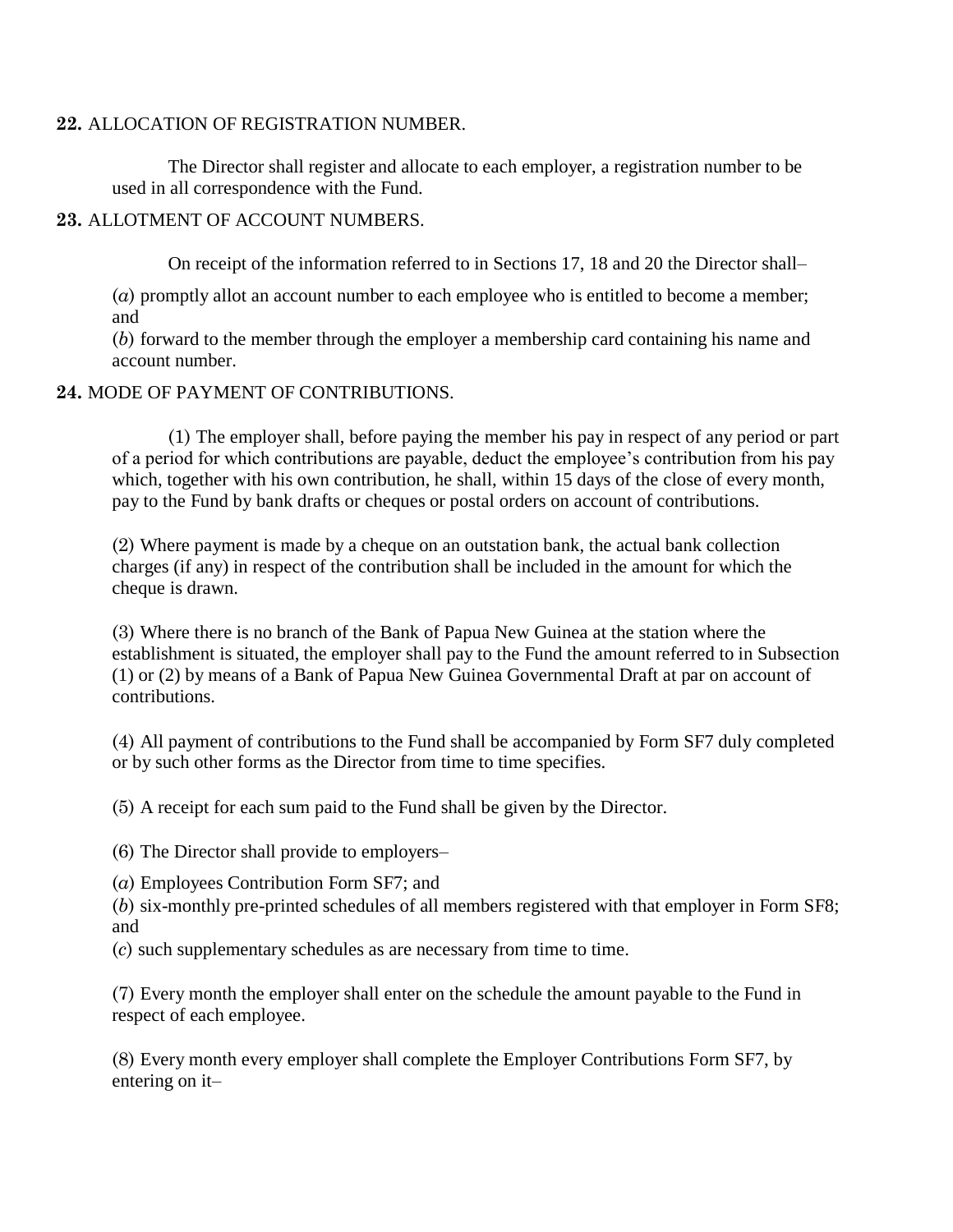## **22.** ALLOCATION OF REGISTRATION NUMBER.

The Director shall register and allocate to each employer, a registration number to be used in all correspondence with the Fund.

## **23.** ALLOTMENT OF ACCOUNT NUMBERS.

On receipt of the information referred to in Sections 17, 18 and 20 the Director shall–

(*a*) promptly allot an account number to each employee who is entitled to become a member; and

(*b*) forward to the member through the employer a membership card containing his name and account number.

## **24.** MODE OF PAYMENT OF CONTRIBUTIONS.

(1) The employer shall, before paying the member his pay in respect of any period or part of a period for which contributions are payable, deduct the employee"s contribution from his pay which, together with his own contribution, he shall, within 15 days of the close of every month, pay to the Fund by bank drafts or cheques or postal orders on account of contributions.

(2) Where payment is made by a cheque on an outstation bank, the actual bank collection charges (if any) in respect of the contribution shall be included in the amount for which the cheque is drawn.

(3) Where there is no branch of the Bank of Papua New Guinea at the station where the establishment is situated, the employer shall pay to the Fund the amount referred to in Subsection (1) or (2) by means of a Bank of Papua New Guinea Governmental Draft at par on account of contributions.

(4) All payment of contributions to the Fund shall be accompanied by Form SF7 duly completed or by such other forms as the Director from time to time specifies.

(5) A receipt for each sum paid to the Fund shall be given by the Director.

(6) The Director shall provide to employers–

(*a*) Employees Contribution Form SF7; and

(*b*) six-monthly pre-printed schedules of all members registered with that employer in Form SF8; and

(*c*) such supplementary schedules as are necessary from time to time.

(7) Every month the employer shall enter on the schedule the amount payable to the Fund in respect of each employee.

(8) Every month every employer shall complete the Employer Contributions Form SF7, by entering on it–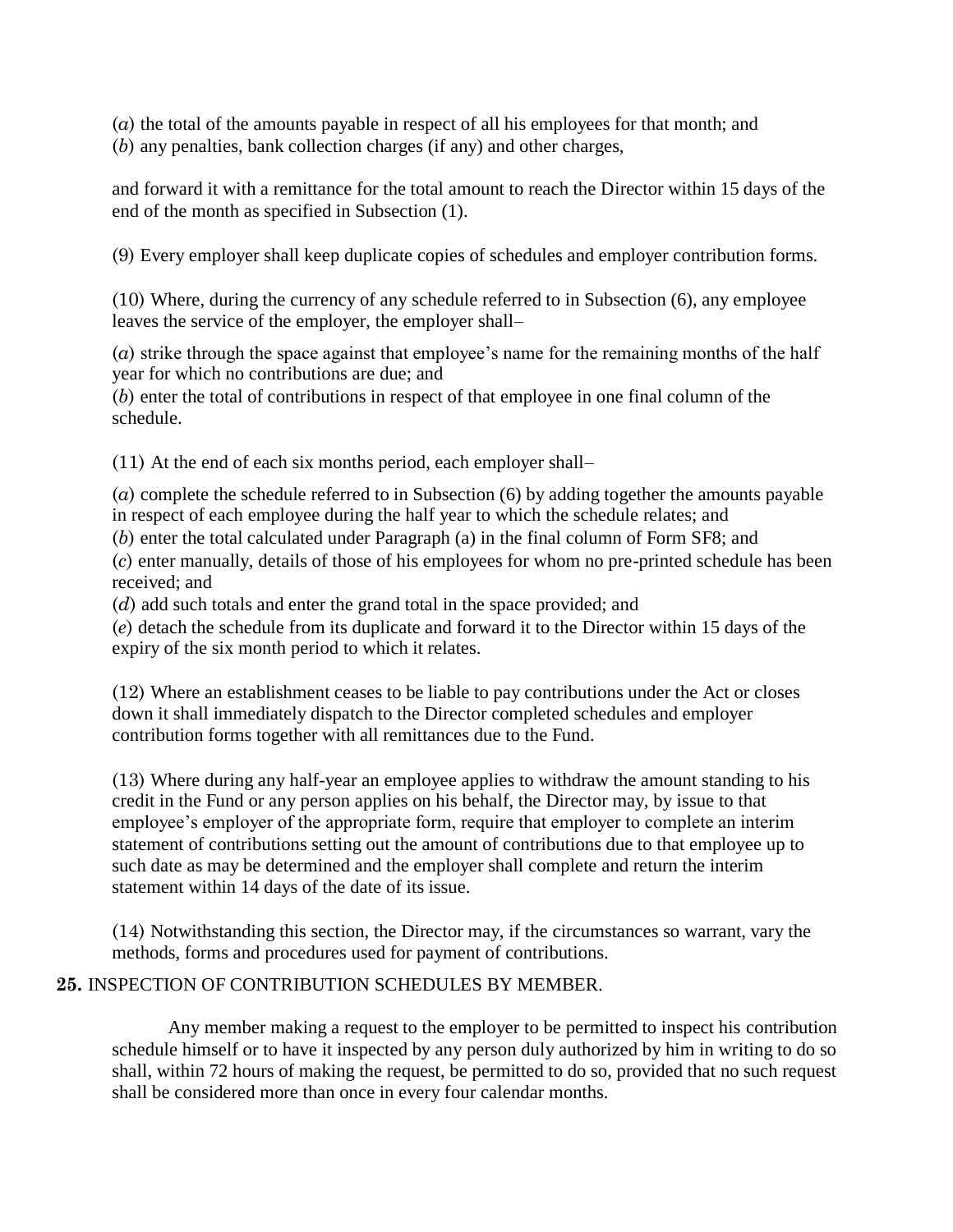(*a*) the total of the amounts payable in respect of all his employees for that month; and (*b*) any penalties, bank collection charges (if any) and other charges,

and forward it with a remittance for the total amount to reach the Director within 15 days of the end of the month as specified in Subsection (1).

(9) Every employer shall keep duplicate copies of schedules and employer contribution forms.

(10) Where, during the currency of any schedule referred to in Subsection (6), any employee leaves the service of the employer, the employer shall–

(*a*) strike through the space against that employee"s name for the remaining months of the half year for which no contributions are due; and

(*b*) enter the total of contributions in respect of that employee in one final column of the schedule.

(11) At the end of each six months period, each employer shall–

(*a*) complete the schedule referred to in Subsection (6) by adding together the amounts payable in respect of each employee during the half year to which the schedule relates; and

(*b*) enter the total calculated under Paragraph (a) in the final column of Form SF8; and

(*c*) enter manually, details of those of his employees for whom no pre-printed schedule has been received; and

(*d*) add such totals and enter the grand total in the space provided; and

(*e*) detach the schedule from its duplicate and forward it to the Director within 15 days of the expiry of the six month period to which it relates.

(12) Where an establishment ceases to be liable to pay contributions under the Act or closes down it shall immediately dispatch to the Director completed schedules and employer contribution forms together with all remittances due to the Fund.

(13) Where during any half-year an employee applies to withdraw the amount standing to his credit in the Fund or any person applies on his behalf, the Director may, by issue to that employee's employer of the appropriate form, require that employer to complete an interim statement of contributions setting out the amount of contributions due to that employee up to such date as may be determined and the employer shall complete and return the interim statement within 14 days of the date of its issue.

(14) Notwithstanding this section, the Director may, if the circumstances so warrant, vary the methods, forms and procedures used for payment of contributions.

# **25.** INSPECTION OF CONTRIBUTION SCHEDULES BY MEMBER.

Any member making a request to the employer to be permitted to inspect his contribution schedule himself or to have it inspected by any person duly authorized by him in writing to do so shall, within 72 hours of making the request, be permitted to do so, provided that no such request shall be considered more than once in every four calendar months.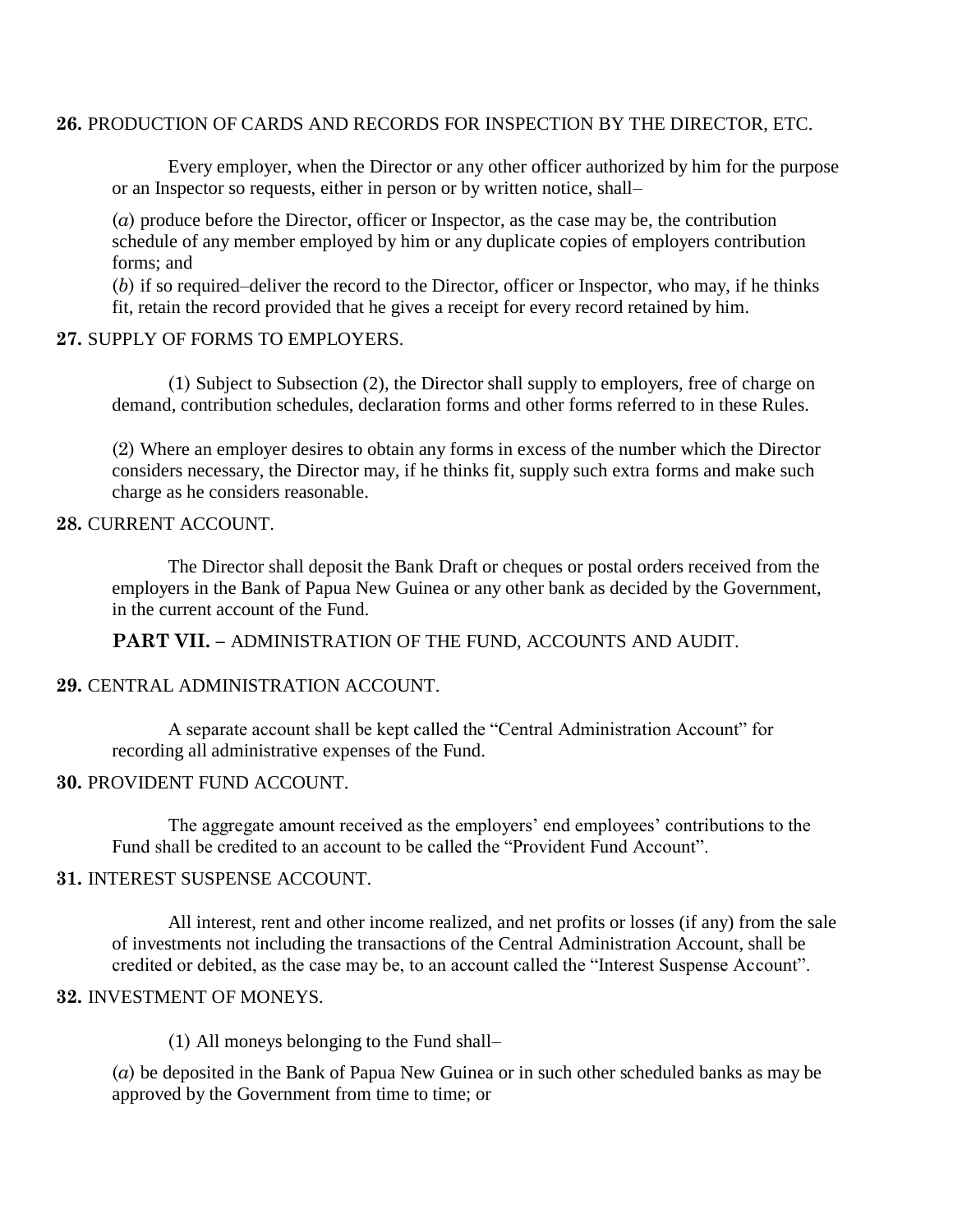#### **26.** PRODUCTION OF CARDS AND RECORDS FOR INSPECTION BY THE DIRECTOR, ETC.

Every employer, when the Director or any other officer authorized by him for the purpose or an Inspector so requests, either in person or by written notice, shall–

(*a*) produce before the Director, officer or Inspector, as the case may be, the contribution schedule of any member employed by him or any duplicate copies of employers contribution forms; and

(*b*) if so required–deliver the record to the Director, officer or Inspector, who may, if he thinks fit, retain the record provided that he gives a receipt for every record retained by him.

#### **27.** SUPPLY OF FORMS TO EMPLOYERS.

(1) Subject to Subsection (2), the Director shall supply to employers, free of charge on demand, contribution schedules, declaration forms and other forms referred to in these Rules.

(2) Where an employer desires to obtain any forms in excess of the number which the Director considers necessary, the Director may, if he thinks fit, supply such extra forms and make such charge as he considers reasonable.

## **28.** CURRENT ACCOUNT.

The Director shall deposit the Bank Draft or cheques or postal orders received from the employers in the Bank of Papua New Guinea or any other bank as decided by the Government, in the current account of the Fund.

**PART VII. –** ADMINISTRATION OF THE FUND, ACCOUNTS AND AUDIT.

#### **29.** CENTRAL ADMINISTRATION ACCOUNT.

A separate account shall be kept called the "Central Administration Account" for recording all administrative expenses of the Fund.

#### **30.** PROVIDENT FUND ACCOUNT.

The aggregate amount received as the employers' end employees' contributions to the Fund shall be credited to an account to be called the "Provident Fund Account".

#### **31.** INTEREST SUSPENSE ACCOUNT.

All interest, rent and other income realized, and net profits or losses (if any) from the sale of investments not including the transactions of the Central Administration Account, shall be credited or debited, as the case may be, to an account called the "Interest Suspense Account".

#### **32.** INVESTMENT OF MONEYS.

(1) All moneys belonging to the Fund shall–

(*a*) be deposited in the Bank of Papua New Guinea or in such other scheduled banks as may be approved by the Government from time to time; or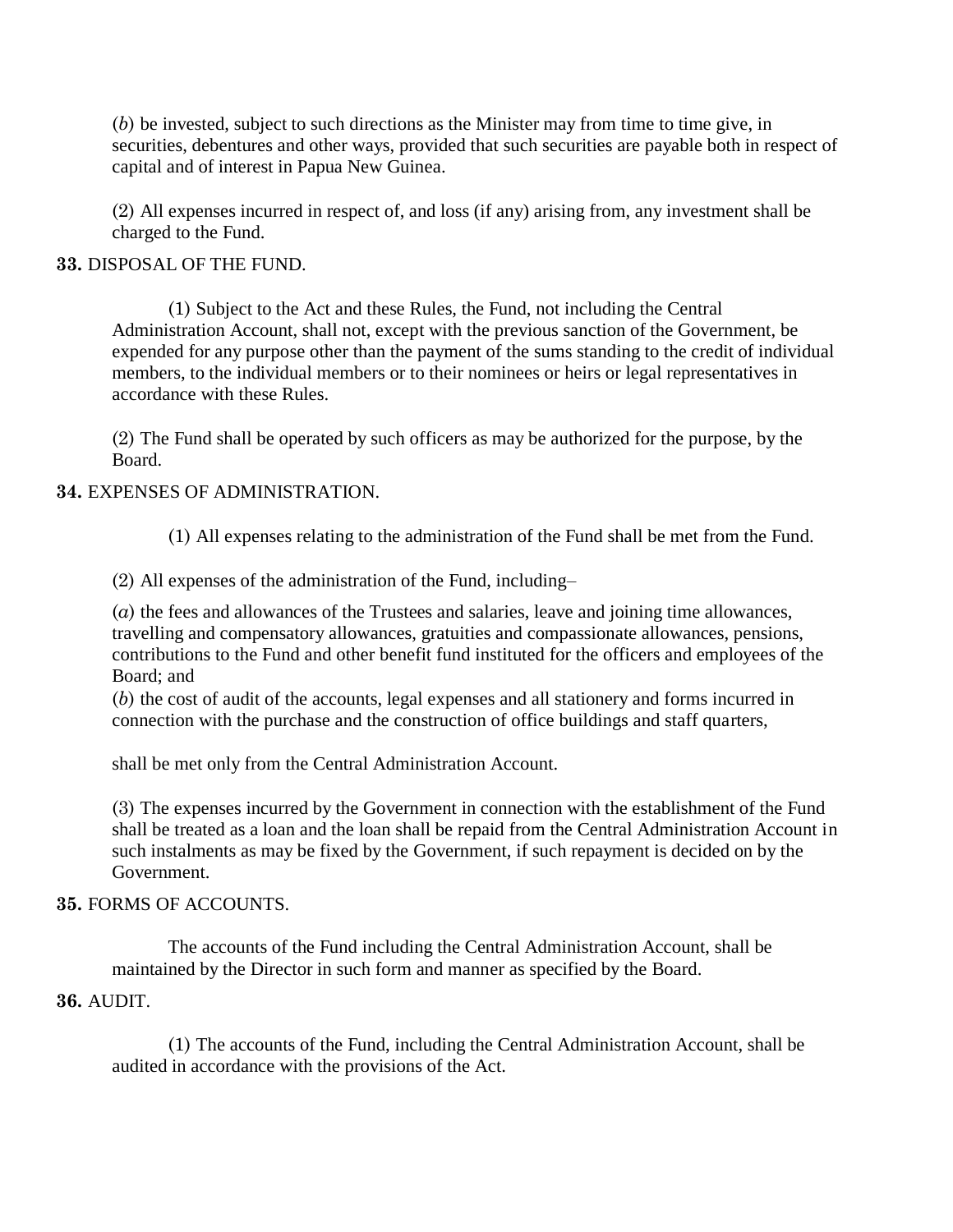(*b*) be invested, subject to such directions as the Minister may from time to time give, in securities, debentures and other ways, provided that such securities are payable both in respect of capital and of interest in Papua New Guinea.

(2) All expenses incurred in respect of, and loss (if any) arising from, any investment shall be charged to the Fund.

## **33.** DISPOSAL OF THE FUND.

(1) Subject to the Act and these Rules, the Fund, not including the Central Administration Account, shall not, except with the previous sanction of the Government, be expended for any purpose other than the payment of the sums standing to the credit of individual members, to the individual members or to their nominees or heirs or legal representatives in accordance with these Rules.

(2) The Fund shall be operated by such officers as may be authorized for the purpose, by the Board.

# **34.** EXPENSES OF ADMINISTRATION.

(1) All expenses relating to the administration of the Fund shall be met from the Fund.

(2) All expenses of the administration of the Fund, including–

(*a*) the fees and allowances of the Trustees and salaries, leave and joining time allowances, travelling and compensatory allowances, gratuities and compassionate allowances, pensions, contributions to the Fund and other benefit fund instituted for the officers and employees of the Board; and

(*b*) the cost of audit of the accounts, legal expenses and all stationery and forms incurred in connection with the purchase and the construction of office buildings and staff quarters,

shall be met only from the Central Administration Account.

(3) The expenses incurred by the Government in connection with the establishment of the Fund shall be treated as a loan and the loan shall be repaid from the Central Administration Account in such instalments as may be fixed by the Government, if such repayment is decided on by the Government.

#### **35.** FORMS OF ACCOUNTS.

The accounts of the Fund including the Central Administration Account, shall be maintained by the Director in such form and manner as specified by the Board.

#### **36.** AUDIT.

(1) The accounts of the Fund, including the Central Administration Account, shall be audited in accordance with the provisions of the Act.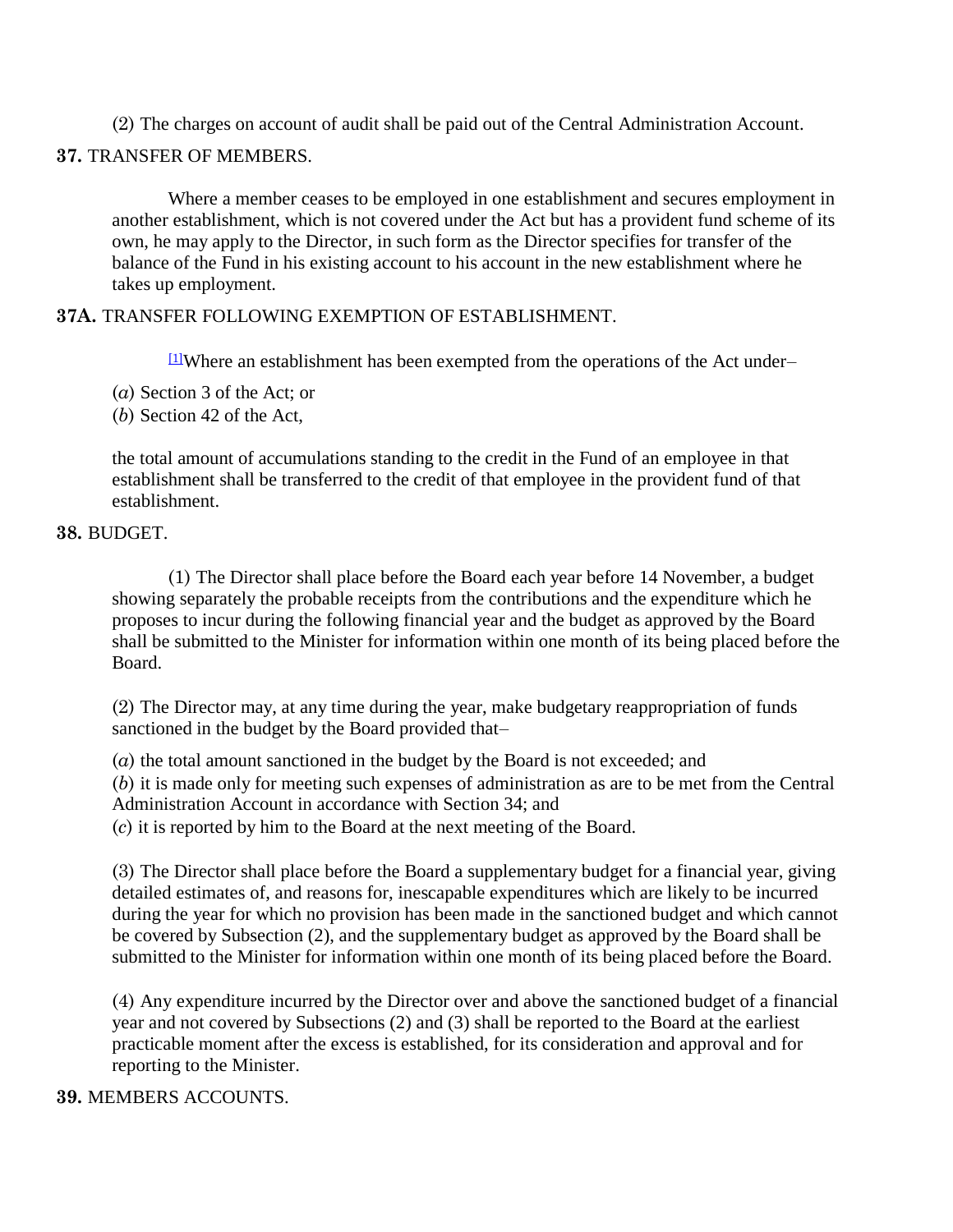(2) The charges on account of audit shall be paid out of the Central Administration Account.

## **37.** TRANSFER OF MEMBERS.

Where a member ceases to be employed in one establishment and secures employment in another establishment, which is not covered under the Act but has a provident fund scheme of its own, he may apply to the Director, in such form as the Director specifies for transfer of the balance of the Fund in his existing account to his account in the new establishment where he takes up employment.

## **37A.** TRANSFER FOLLOWING EXEMPTION OF ESTABLISHMENT.

 $11$ Where an establishment has been exempted from the operations of the Act under–

- (*a*) Section 3 of the Act; or
- (*b*) Section 42 of the Act,

the total amount of accumulations standing to the credit in the Fund of an employee in that establishment shall be transferred to the credit of that employee in the provident fund of that establishment.

## **38.** BUDGET.

(1) The Director shall place before the Board each year before 14 November, a budget showing separately the probable receipts from the contributions and the expenditure which he proposes to incur during the following financial year and the budget as approved by the Board shall be submitted to the Minister for information within one month of its being placed before the Board.

(2) The Director may, at any time during the year, make budgetary reappropriation of funds sanctioned in the budget by the Board provided that–

(*a*) the total amount sanctioned in the budget by the Board is not exceeded; and (*b*) it is made only for meeting such expenses of administration as are to be met from the Central Administration Account in accordance with Section 34; and (*c*) it is reported by him to the Board at the next meeting of the Board.

(3) The Director shall place before the Board a supplementary budget for a financial year, giving detailed estimates of, and reasons for, inescapable expenditures which are likely to be incurred during the year for which no provision has been made in the sanctioned budget and which cannot be covered by Subsection (2), and the supplementary budget as approved by the Board shall be submitted to the Minister for information within one month of its being placed before the Board.

(4) Any expenditure incurred by the Director over and above the sanctioned budget of a financial year and not covered by Subsections (2) and (3) shall be reported to the Board at the earliest practicable moment after the excess is established, for its consideration and approval and for reporting to the Minister.

#### **39.** MEMBERS ACCOUNTS.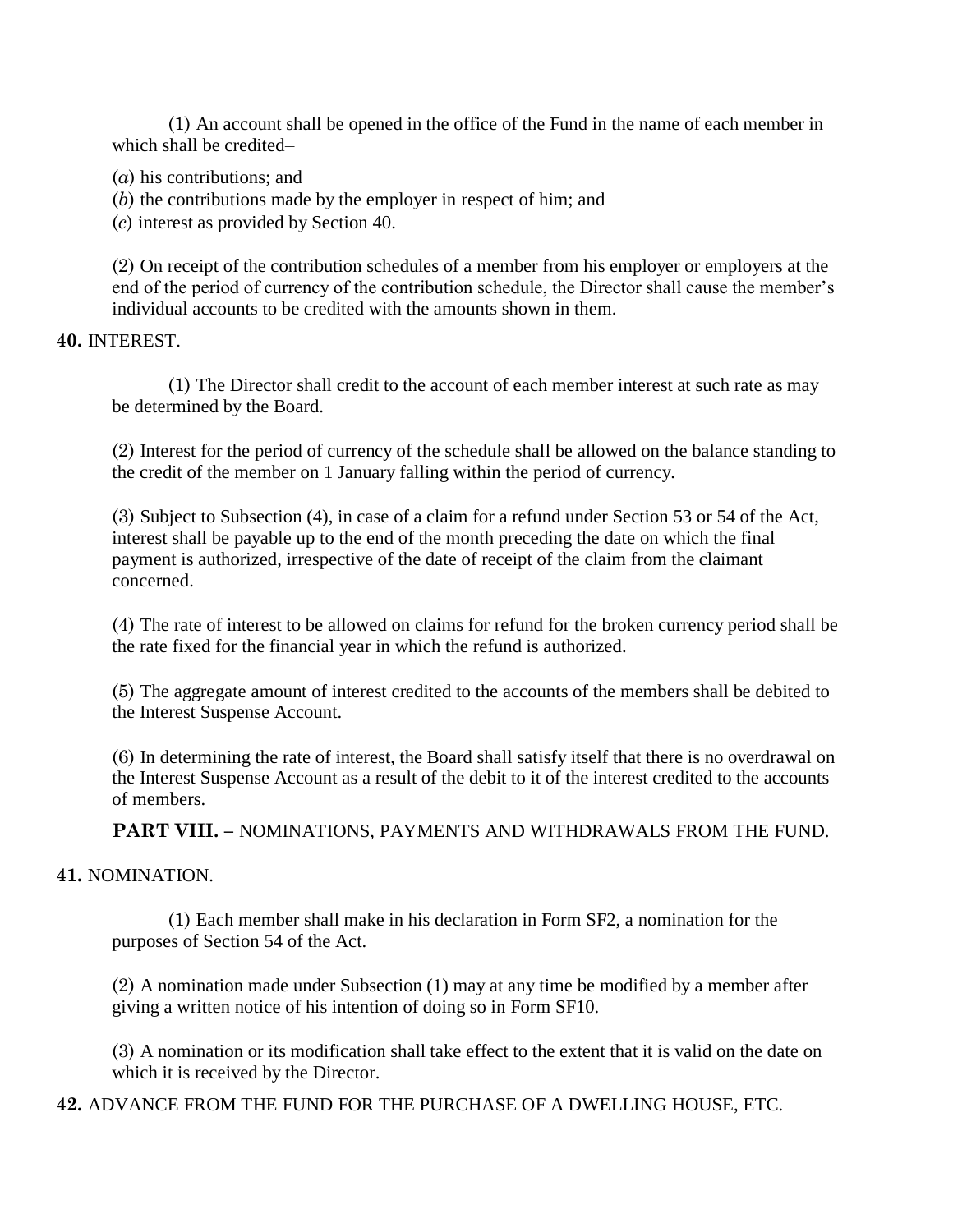(1) An account shall be opened in the office of the Fund in the name of each member in which shall be credited–

- (*a*) his contributions; and
- (*b*) the contributions made by the employer in respect of him; and

(*c*) interest as provided by Section 40.

(2) On receipt of the contribution schedules of a member from his employer or employers at the end of the period of currency of the contribution schedule, the Director shall cause the member's individual accounts to be credited with the amounts shown in them.

## **40.** INTEREST.

(1) The Director shall credit to the account of each member interest at such rate as may be determined by the Board.

(2) Interest for the period of currency of the schedule shall be allowed on the balance standing to the credit of the member on 1 January falling within the period of currency.

(3) Subject to Subsection (4), in case of a claim for a refund under Section 53 or 54 of the Act, interest shall be payable up to the end of the month preceding the date on which the final payment is authorized, irrespective of the date of receipt of the claim from the claimant concerned.

(4) The rate of interest to be allowed on claims for refund for the broken currency period shall be the rate fixed for the financial year in which the refund is authorized.

(5) The aggregate amount of interest credited to the accounts of the members shall be debited to the Interest Suspense Account.

(6) In determining the rate of interest, the Board shall satisfy itself that there is no overdrawal on the Interest Suspense Account as a result of the debit to it of the interest credited to the accounts of members.

**PART VIII. –** NOMINATIONS, PAYMENTS AND WITHDRAWALS FROM THE FUND.

# **41.** NOMINATION.

(1) Each member shall make in his declaration in Form SF2, a nomination for the purposes of Section 54 of the Act.

(2) A nomination made under Subsection (1) may at any time be modified by a member after giving a written notice of his intention of doing so in Form SF10.

(3) A nomination or its modification shall take effect to the extent that it is valid on the date on which it is received by the Director.

**42.** ADVANCE FROM THE FUND FOR THE PURCHASE OF A DWELLING HOUSE, ETC.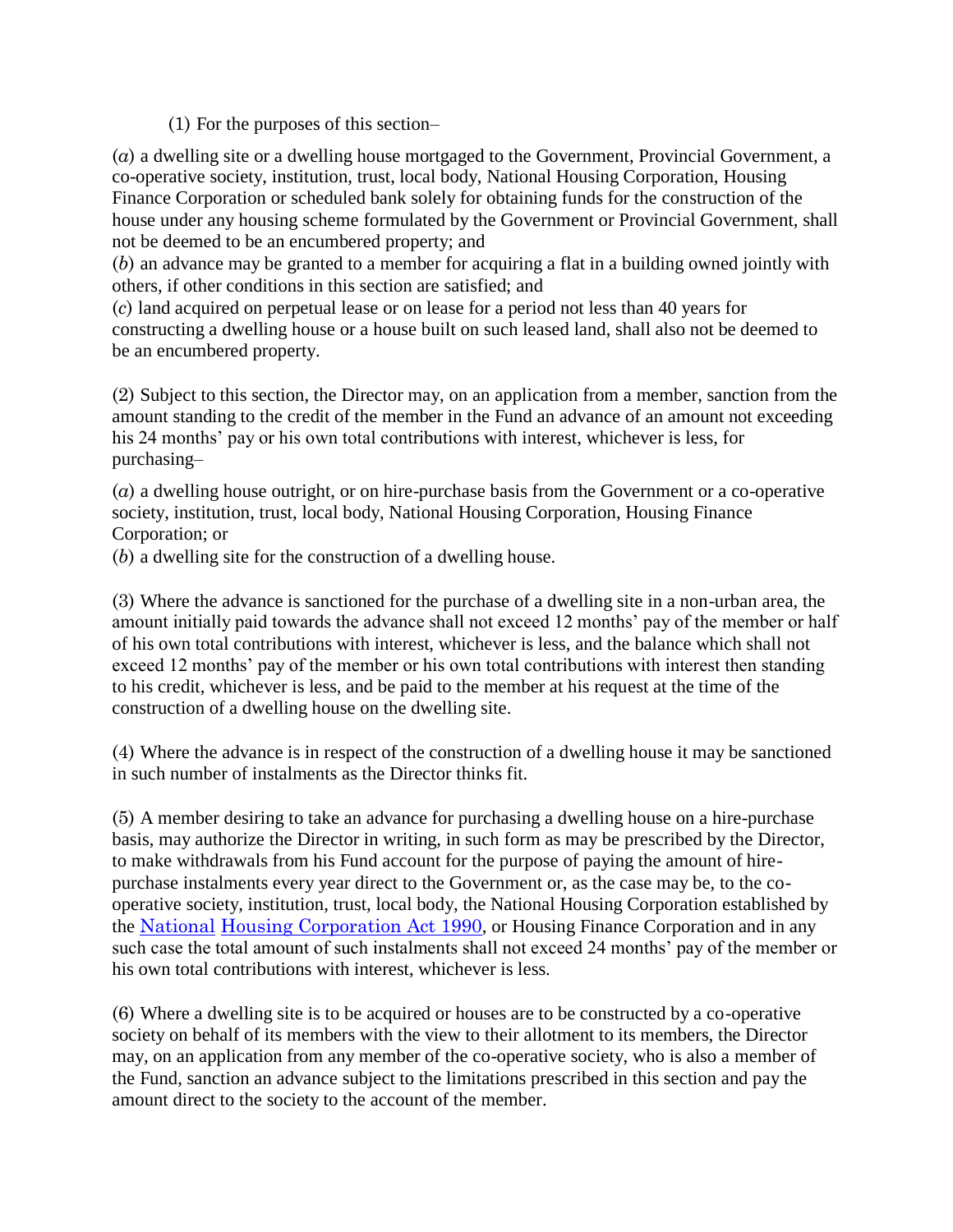(1) For the purposes of this section–

(*a*) a dwelling site or a dwelling house mortgaged to the Government, Provincial Government, a co-operative society, institution, trust, local body, National Housing Corporation, Housing Finance Corporation or scheduled bank solely for obtaining funds for the construction of the house under any housing scheme formulated by the Government or Provincial Government, shall not be deemed to be an encumbered property; and

(*b*) an advance may be granted to a member for acquiring a flat in a building owned jointly with others, if other conditions in this section are satisfied; and

(*c*) land acquired on perpetual lease or on lease for a period not less than 40 years for constructing a dwelling house or a house built on such leased land, shall also not be deemed to be an encumbered property.

(2) Subject to this section, the Director may, on an application from a member, sanction from the amount standing to the credit of the member in the Fund an advance of an amount not exceeding his 24 months' pay or his own total contributions with interest, whichever is less, for purchasing–

(*a*) a dwelling house outright, or on hire-purchase basis from the Government or a co-operative society, institution, trust, local body, National Housing Corporation, Housing Finance Corporation; or

(*b*) a dwelling site for the construction of a dwelling house.

(3) Where the advance is sanctioned for the purchase of a dwelling site in a non-urban area, the amount initially paid towards the advance shall not exceed 12 months' pay of the member or half of his own total contributions with interest, whichever is less, and the balance which shall not exceed 12 months' pay of the member or his own total contributions with interest then standing to his credit, whichever is less, and be paid to the member at his request at the time of the construction of a dwelling house on the dwelling site.

(4) Where the advance is in respect of the construction of a dwelling house it may be sanctioned in such number of instalments as the Director thinks fit.

(5) A member desiring to take an advance for purchasing a dwelling house on a hire-purchase basis, may authorize the Director in writing, in such form as may be prescribed by the Director, to make withdrawals from his Fund account for the purpose of paying the amount of hirepurchase instalments every year direct to the Government or, as the case may be, to the cooperative society, institution, trust, local body, the National Housing Corporation established by the [National](http://www.paclii.org/pg/legis/consol_act/nhca1990318/) [Housing Corporation Act 1990](http://www.paclii.org/pg/legis/consol_act/nhca1990318/), or Housing Finance Corporation and in any such case the total amount of such instalments shall not exceed 24 months' pay of the member or his own total contributions with interest, whichever is less.

(6) Where a dwelling site is to be acquired or houses are to be constructed by a co-operative society on behalf of its members with the view to their allotment to its members, the Director may, on an application from any member of the co-operative society, who is also a member of the Fund, sanction an advance subject to the limitations prescribed in this section and pay the amount direct to the society to the account of the member.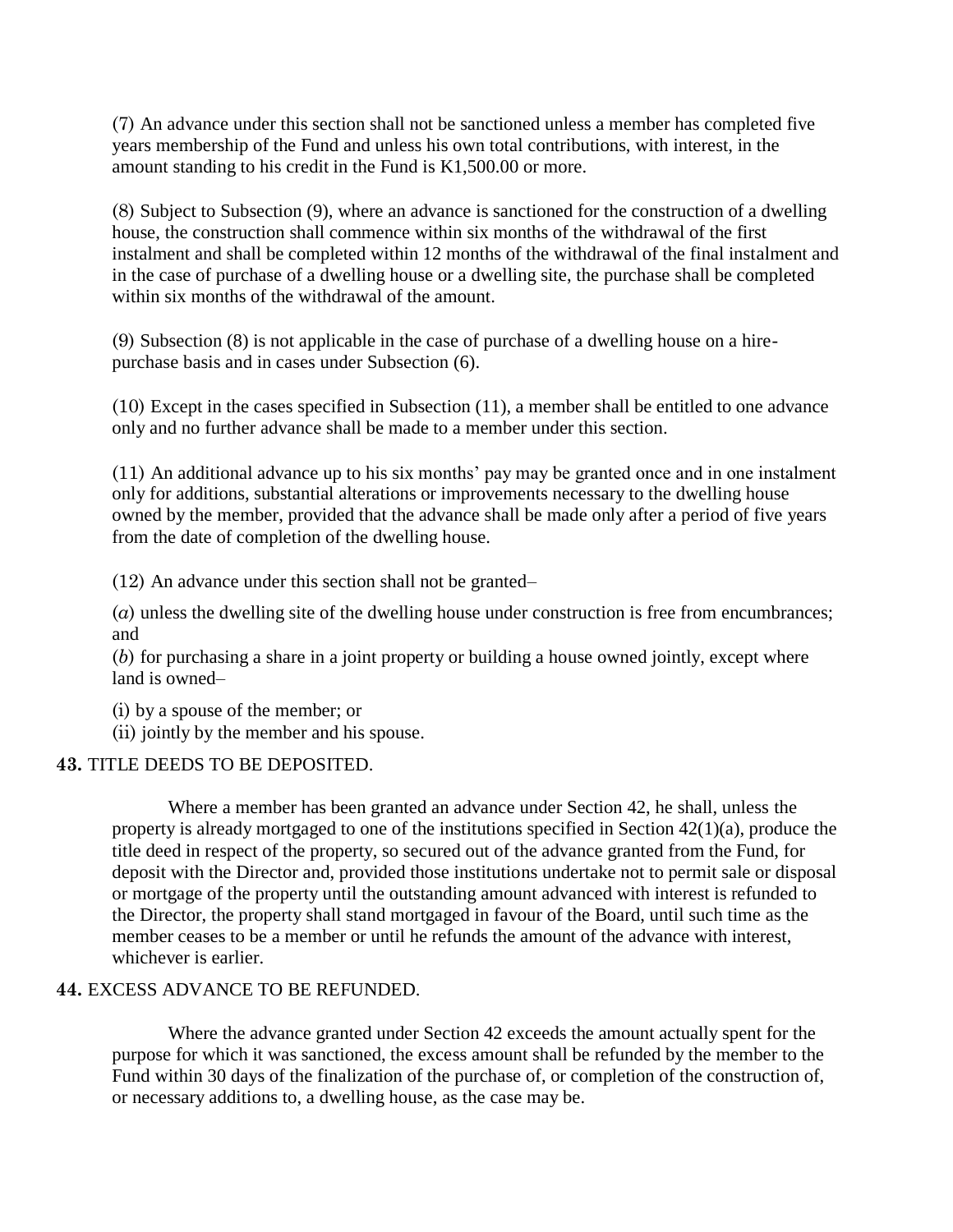(7) An advance under this section shall not be sanctioned unless a member has completed five years membership of the Fund and unless his own total contributions, with interest, in the amount standing to his credit in the Fund is K1,500.00 or more.

(8) Subject to Subsection (9), where an advance is sanctioned for the construction of a dwelling house, the construction shall commence within six months of the withdrawal of the first instalment and shall be completed within 12 months of the withdrawal of the final instalment and in the case of purchase of a dwelling house or a dwelling site, the purchase shall be completed within six months of the withdrawal of the amount.

(9) Subsection (8) is not applicable in the case of purchase of a dwelling house on a hirepurchase basis and in cases under Subsection (6).

(10) Except in the cases specified in Subsection (11), a member shall be entitled to one advance only and no further advance shall be made to a member under this section.

(11) An additional advance up to his six months" pay may be granted once and in one instalment only for additions, substantial alterations or improvements necessary to the dwelling house owned by the member, provided that the advance shall be made only after a period of five years from the date of completion of the dwelling house.

(12) An advance under this section shall not be granted–

(*a*) unless the dwelling site of the dwelling house under construction is free from encumbrances; and

(*b*) for purchasing a share in a joint property or building a house owned jointly, except where land is owned–

(i) by a spouse of the member; or

(ii) jointly by the member and his spouse.

# **43.** TITLE DEEDS TO BE DEPOSITED.

Where a member has been granted an advance under Section 42, he shall, unless the property is already mortgaged to one of the institutions specified in Section 42(1)(a), produce the title deed in respect of the property, so secured out of the advance granted from the Fund, for deposit with the Director and, provided those institutions undertake not to permit sale or disposal or mortgage of the property until the outstanding amount advanced with interest is refunded to the Director, the property shall stand mortgaged in favour of the Board, until such time as the member ceases to be a member or until he refunds the amount of the advance with interest, whichever is earlier.

# **44.** EXCESS ADVANCE TO BE REFUNDED.

Where the advance granted under Section 42 exceeds the amount actually spent for the purpose for which it was sanctioned, the excess amount shall be refunded by the member to the Fund within 30 days of the finalization of the purchase of, or completion of the construction of, or necessary additions to, a dwelling house, as the case may be.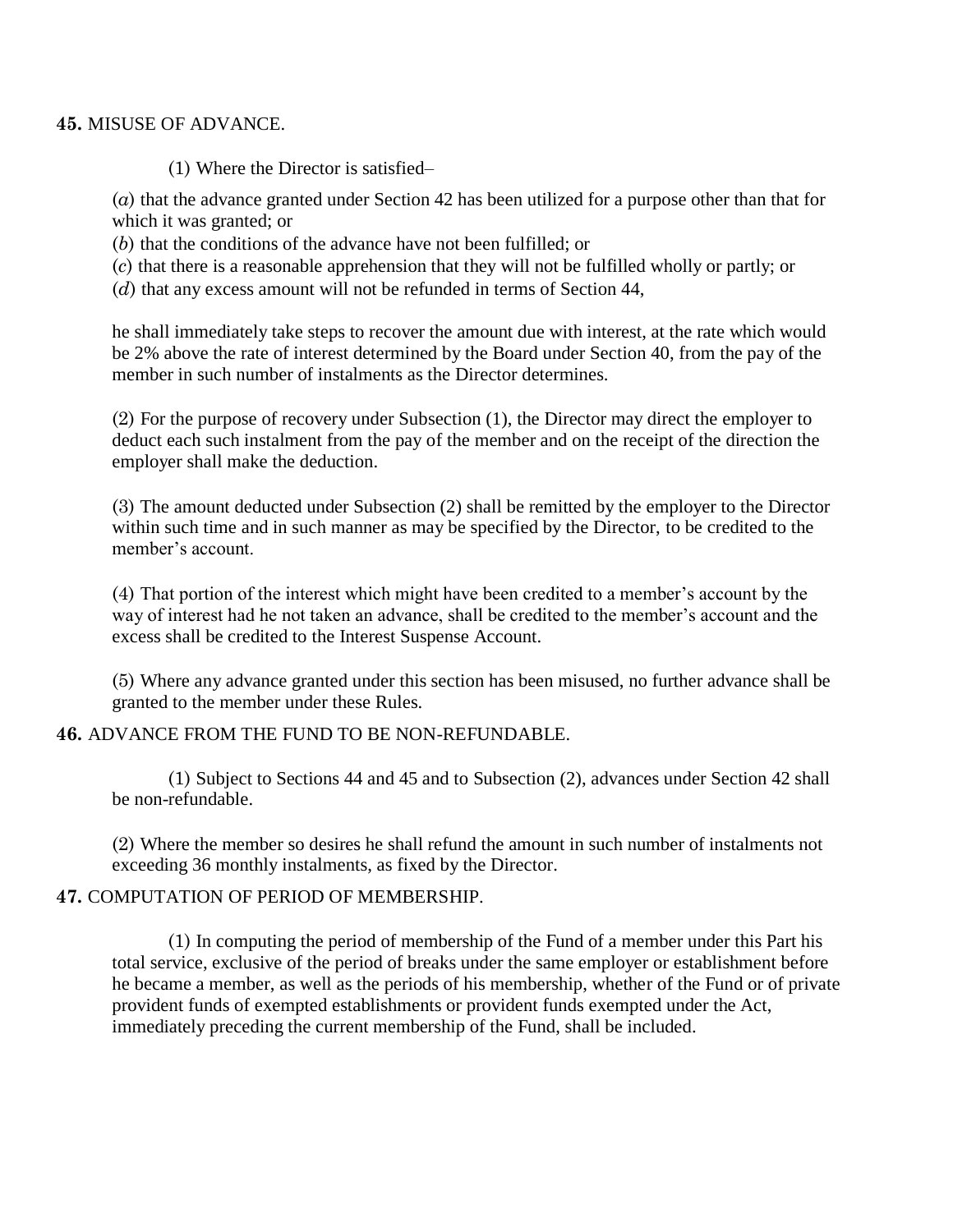#### **45.** MISUSE OF ADVANCE.

(1) Where the Director is satisfied–

(*a*) that the advance granted under Section 42 has been utilized for a purpose other than that for which it was granted; or

(*b*) that the conditions of the advance have not been fulfilled; or

(*c*) that there is a reasonable apprehension that they will not be fulfilled wholly or partly; or

(*d*) that any excess amount will not be refunded in terms of Section 44,

he shall immediately take steps to recover the amount due with interest, at the rate which would be 2% above the rate of interest determined by the Board under Section 40, from the pay of the member in such number of instalments as the Director determines.

(2) For the purpose of recovery under Subsection (1), the Director may direct the employer to deduct each such instalment from the pay of the member and on the receipt of the direction the employer shall make the deduction.

(3) The amount deducted under Subsection (2) shall be remitted by the employer to the Director within such time and in such manner as may be specified by the Director, to be credited to the member's account.

(4) That portion of the interest which might have been credited to a member"s account by the way of interest had he not taken an advance, shall be credited to the member's account and the excess shall be credited to the Interest Suspense Account.

(5) Where any advance granted under this section has been misused, no further advance shall be granted to the member under these Rules.

# **46.** ADVANCE FROM THE FUND TO BE NON-REFUNDABLE.

(1) Subject to Sections 44 and 45 and to Subsection (2), advances under Section 42 shall be non-refundable.

(2) Where the member so desires he shall refund the amount in such number of instalments not exceeding 36 monthly instalments, as fixed by the Director.

# **47.** COMPUTATION OF PERIOD OF MEMBERSHIP.

(1) In computing the period of membership of the Fund of a member under this Part his total service, exclusive of the period of breaks under the same employer or establishment before he became a member, as well as the periods of his membership, whether of the Fund or of private provident funds of exempted establishments or provident funds exempted under the Act, immediately preceding the current membership of the Fund, shall be included.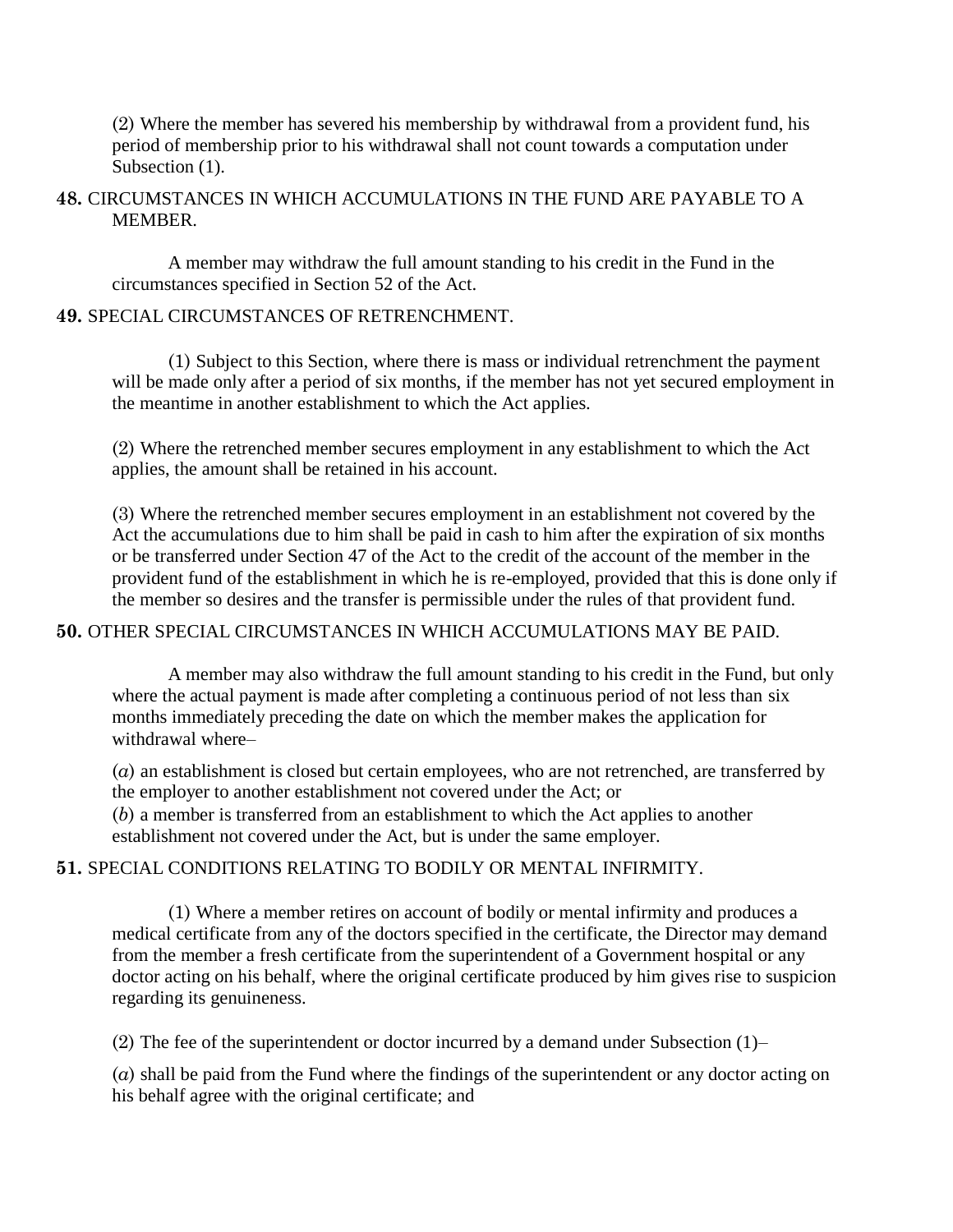(2) Where the member has severed his membership by withdrawal from a provident fund, his period of membership prior to his withdrawal shall not count towards a computation under Subsection  $(1)$ .

## **48.** CIRCUMSTANCES IN WHICH ACCUMULATIONS IN THE FUND ARE PAYABLE TO A MEMBER.

A member may withdraw the full amount standing to his credit in the Fund in the circumstances specified in Section 52 of the Act.

## **49.** SPECIAL CIRCUMSTANCES OF RETRENCHMENT.

(1) Subject to this Section, where there is mass or individual retrenchment the payment will be made only after a period of six months, if the member has not yet secured employment in the meantime in another establishment to which the Act applies.

(2) Where the retrenched member secures employment in any establishment to which the Act applies, the amount shall be retained in his account.

(3) Where the retrenched member secures employment in an establishment not covered by the Act the accumulations due to him shall be paid in cash to him after the expiration of six months or be transferred under Section 47 of the Act to the credit of the account of the member in the provident fund of the establishment in which he is re-employed, provided that this is done only if the member so desires and the transfer is permissible under the rules of that provident fund.

# **50.** OTHER SPECIAL CIRCUMSTANCES IN WHICH ACCUMULATIONS MAY BE PAID.

A member may also withdraw the full amount standing to his credit in the Fund, but only where the actual payment is made after completing a continuous period of not less than six months immediately preceding the date on which the member makes the application for withdrawal where–

(*a*) an establishment is closed but certain employees, who are not retrenched, are transferred by the employer to another establishment not covered under the Act; or

(*b*) a member is transferred from an establishment to which the Act applies to another establishment not covered under the Act, but is under the same employer.

# **51.** SPECIAL CONDITIONS RELATING TO BODILY OR MENTAL INFIRMITY.

(1) Where a member retires on account of bodily or mental infirmity and produces a medical certificate from any of the doctors specified in the certificate, the Director may demand from the member a fresh certificate from the superintendent of a Government hospital or any doctor acting on his behalf, where the original certificate produced by him gives rise to suspicion regarding its genuineness.

(2) The fee of the superintendent or doctor incurred by a demand under Subsection (1)–

(*a*) shall be paid from the Fund where the findings of the superintendent or any doctor acting on his behalf agree with the original certificate; and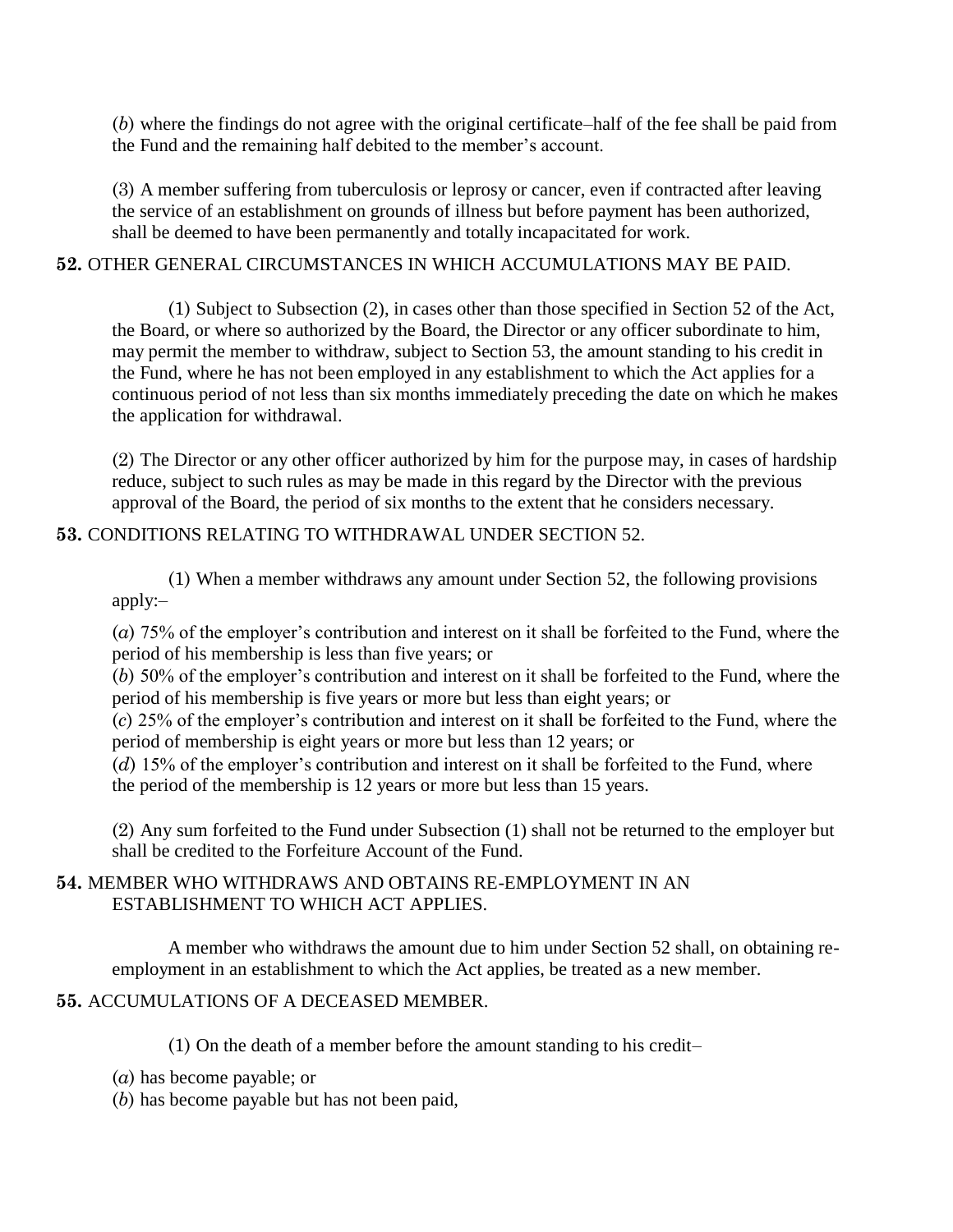(*b*) where the findings do not agree with the original certificate–half of the fee shall be paid from the Fund and the remaining half debited to the member's account.

(3) A member suffering from tuberculosis or leprosy or cancer, even if contracted after leaving the service of an establishment on grounds of illness but before payment has been authorized, shall be deemed to have been permanently and totally incapacitated for work.

## **52.** OTHER GENERAL CIRCUMSTANCES IN WHICH ACCUMULATIONS MAY BE PAID.

(1) Subject to Subsection (2), in cases other than those specified in Section 52 of the Act, the Board, or where so authorized by the Board, the Director or any officer subordinate to him, may permit the member to withdraw, subject to Section 53, the amount standing to his credit in the Fund, where he has not been employed in any establishment to which the Act applies for a continuous period of not less than six months immediately preceding the date on which he makes the application for withdrawal.

(2) The Director or any other officer authorized by him for the purpose may, in cases of hardship reduce, subject to such rules as may be made in this regard by the Director with the previous approval of the Board, the period of six months to the extent that he considers necessary.

# **53.** CONDITIONS RELATING TO WITHDRAWAL UNDER SECTION 52.

(1) When a member withdraws any amount under Section 52, the following provisions apply:–

(*a*) 75% of the employer"s contribution and interest on it shall be forfeited to the Fund, where the period of his membership is less than five years; or

(*b*) 50% of the employer"s contribution and interest on it shall be forfeited to the Fund, where the period of his membership is five years or more but less than eight years; or

(*c*) 25% of the employer"s contribution and interest on it shall be forfeited to the Fund, where the period of membership is eight years or more but less than 12 years; or

(*d*) 15% of the employer's contribution and interest on it shall be forfeited to the Fund, where the period of the membership is 12 years or more but less than 15 years.

(2) Any sum forfeited to the Fund under Subsection (1) shall not be returned to the employer but shall be credited to the Forfeiture Account of the Fund.

# **54.** MEMBER WHO WITHDRAWS AND OBTAINS RE-EMPLOYMENT IN AN ESTABLISHMENT TO WHICH ACT APPLIES.

A member who withdraws the amount due to him under Section 52 shall, on obtaining reemployment in an establishment to which the Act applies, be treated as a new member.

# **55.** ACCUMULATIONS OF A DECEASED MEMBER.

(1) On the death of a member before the amount standing to his credit–

- (*a*) has become payable; or
- (*b*) has become payable but has not been paid,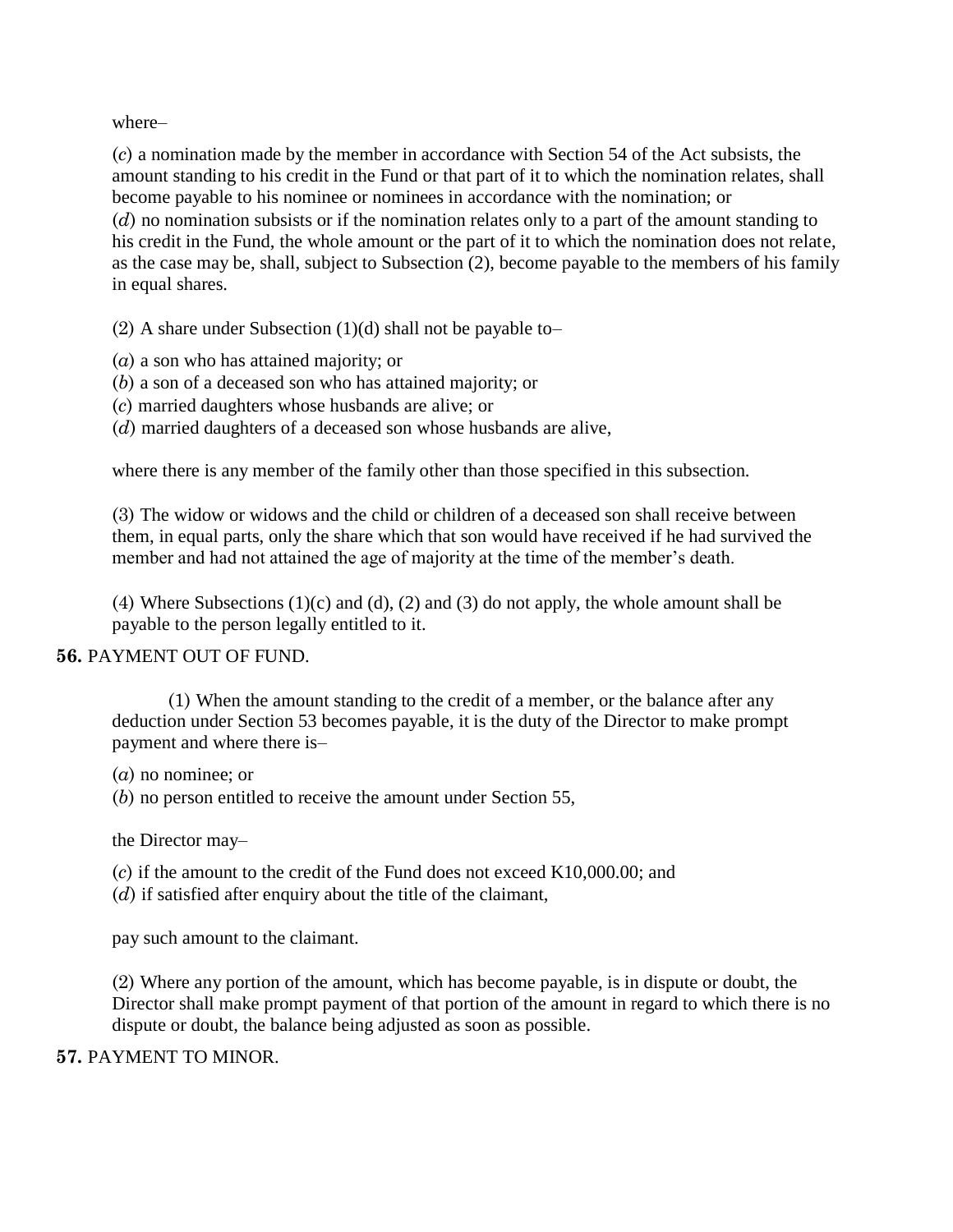where–

(*c*) a nomination made by the member in accordance with Section 54 of the Act subsists, the amount standing to his credit in the Fund or that part of it to which the nomination relates, shall become payable to his nominee or nominees in accordance with the nomination; or (*d*) no nomination subsists or if the nomination relates only to a part of the amount standing to his credit in the Fund, the whole amount or the part of it to which the nomination does not relate, as the case may be, shall, subject to Subsection (2), become payable to the members of his family in equal shares.

(2) A share under Subsection  $(1)(d)$  shall not be payable to-

- (*a*) a son who has attained majority; or
- (*b*) a son of a deceased son who has attained majority; or
- (*c*) married daughters whose husbands are alive; or
- (*d*) married daughters of a deceased son whose husbands are alive,

where there is any member of the family other than those specified in this subsection.

(3) The widow or widows and the child or children of a deceased son shall receive between them, in equal parts, only the share which that son would have received if he had survived the member and had not attained the age of majority at the time of the member's death.

(4) Where Subsections (1)(c) and (d), (2) and (3) do not apply, the whole amount shall be payable to the person legally entitled to it.

#### **56.** PAYMENT OUT OF FUND.

(1) When the amount standing to the credit of a member, or the balance after any deduction under Section 53 becomes payable, it is the duty of the Director to make prompt payment and where there is–

(*a*) no nominee; or

(*b*) no person entitled to receive the amount under Section 55,

the Director may–

(*c*) if the amount to the credit of the Fund does not exceed K10,000.00; and

(*d*) if satisfied after enquiry about the title of the claimant,

pay such amount to the claimant.

(2) Where any portion of the amount, which has become payable, is in dispute or doubt, the Director shall make prompt payment of that portion of the amount in regard to which there is no dispute or doubt, the balance being adjusted as soon as possible.

#### **57.** PAYMENT TO MINOR.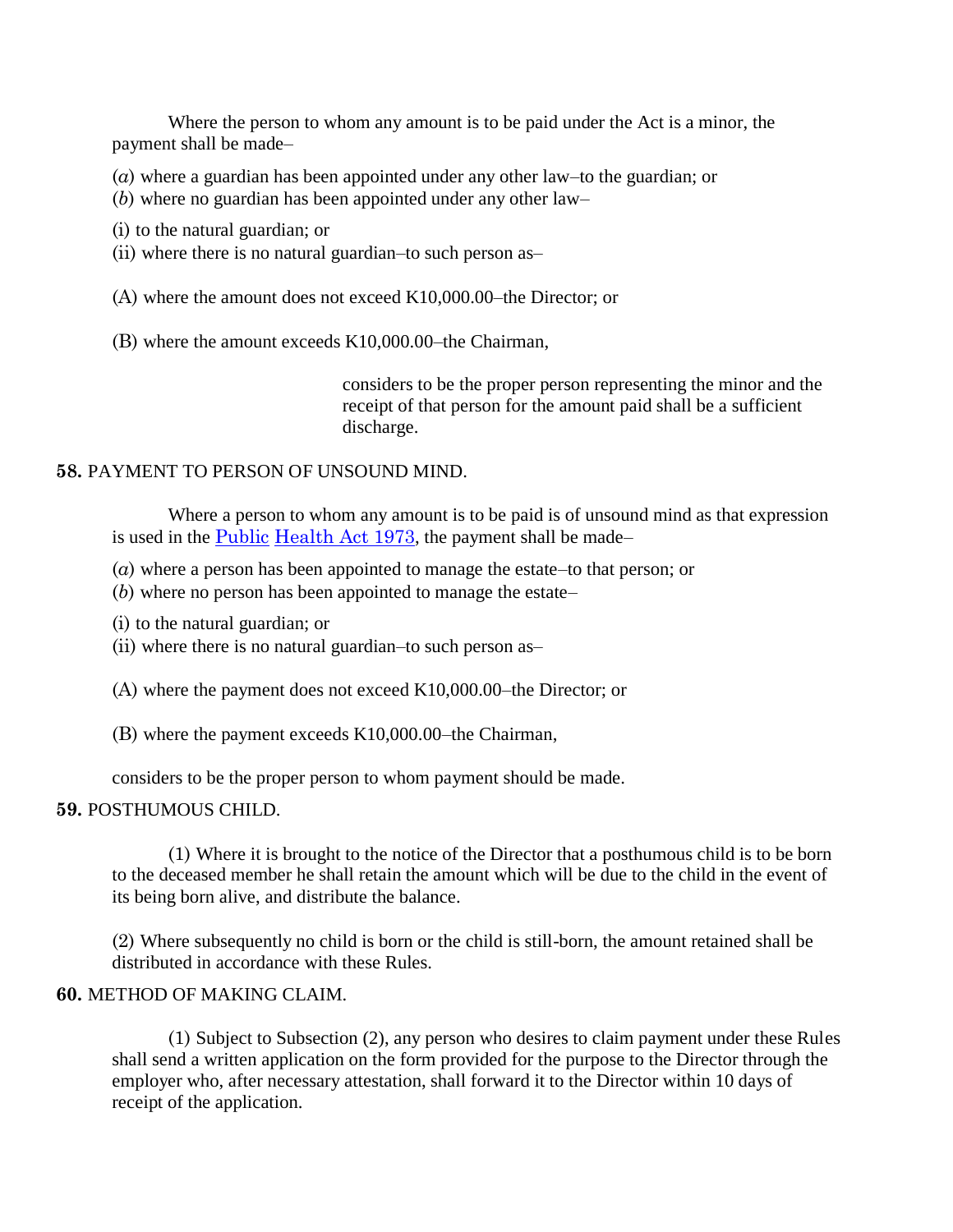Where the person to whom any amount is to be paid under the Act is a minor, the payment shall be made–

- (*a*) where a guardian has been appointed under any other law–to the guardian; or
- (*b*) where no guardian has been appointed under any other law–
- (i) to the natural guardian; or
- (ii) where there is no natural guardian–to such person as–
- (A) where the amount does not exceed K10,000.00–the Director; or
- (B) where the amount exceeds K10,000.00–the Chairman,

considers to be the proper person representing the minor and the receipt of that person for the amount paid shall be a sufficient discharge.

## **58.** PAYMENT TO PERSON OF UNSOUND MIND.

Where a person to whom any amount is to be paid is of unsound mind as that expression is used in the [Public](http://www.paclii.org/pg/legis/consol_act/pha1973126/) [Health Act 1973](http://www.paclii.org/pg/legis/consol_act/pha1973126/), the payment shall be made–

- (*a*) where a person has been appointed to manage the estate–to that person; or
- (*b*) where no person has been appointed to manage the estate–
- (i) to the natural guardian; or
- (ii) where there is no natural guardian–to such person as–
- (A) where the payment does not exceed K10,000.00–the Director; or
- (B) where the payment exceeds K10,000.00–the Chairman,

considers to be the proper person to whom payment should be made.

# **59.** POSTHUMOUS CHILD.

(1) Where it is brought to the notice of the Director that a posthumous child is to be born to the deceased member he shall retain the amount which will be due to the child in the event of its being born alive, and distribute the balance.

(2) Where subsequently no child is born or the child is still-born, the amount retained shall be distributed in accordance with these Rules.

#### **60.** METHOD OF MAKING CLAIM.

(1) Subject to Subsection (2), any person who desires to claim payment under these Rules shall send a written application on the form provided for the purpose to the Director through the employer who, after necessary attestation, shall forward it to the Director within 10 days of receipt of the application.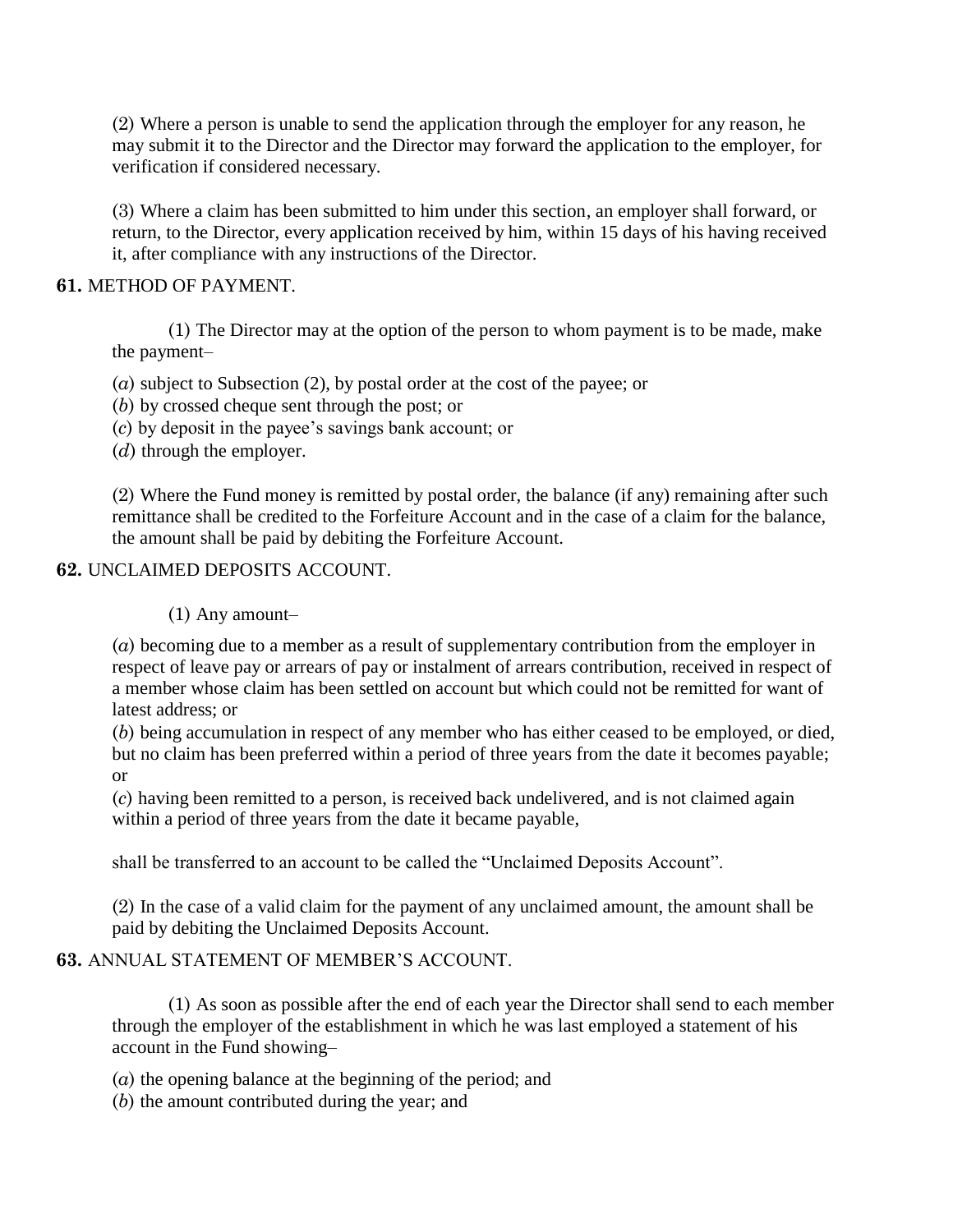(2) Where a person is unable to send the application through the employer for any reason, he may submit it to the Director and the Director may forward the application to the employer, for verification if considered necessary.

(3) Where a claim has been submitted to him under this section, an employer shall forward, or return, to the Director, every application received by him, within 15 days of his having received it, after compliance with any instructions of the Director.

## **61.** METHOD OF PAYMENT.

(1) The Director may at the option of the person to whom payment is to be made, make the payment–

- (*a*) subject to Subsection (2), by postal order at the cost of the payee; or
- (*b*) by crossed cheque sent through the post; or
- (*c*) by deposit in the payee"s savings bank account; or
- (*d*) through the employer.

(2) Where the Fund money is remitted by postal order, the balance (if any) remaining after such remittance shall be credited to the Forfeiture Account and in the case of a claim for the balance, the amount shall be paid by debiting the Forfeiture Account.

#### **62.** UNCLAIMED DEPOSITS ACCOUNT.

#### (1) Any amount–

(*a*) becoming due to a member as a result of supplementary contribution from the employer in respect of leave pay or arrears of pay or instalment of arrears contribution, received in respect of a member whose claim has been settled on account but which could not be remitted for want of latest address; or

(*b*) being accumulation in respect of any member who has either ceased to be employed, or died, but no claim has been preferred within a period of three years from the date it becomes payable; or

(*c*) having been remitted to a person, is received back undelivered, and is not claimed again within a period of three years from the date it became payable,

shall be transferred to an account to be called the "Unclaimed Deposits Account".

(2) In the case of a valid claim for the payment of any unclaimed amount, the amount shall be paid by debiting the Unclaimed Deposits Account.

# **63.** ANNUAL STATEMENT OF MEMBER"S ACCOUNT.

(1) As soon as possible after the end of each year the Director shall send to each member through the employer of the establishment in which he was last employed a statement of his account in the Fund showing–

(*a*) the opening balance at the beginning of the period; and

(*b*) the amount contributed during the year; and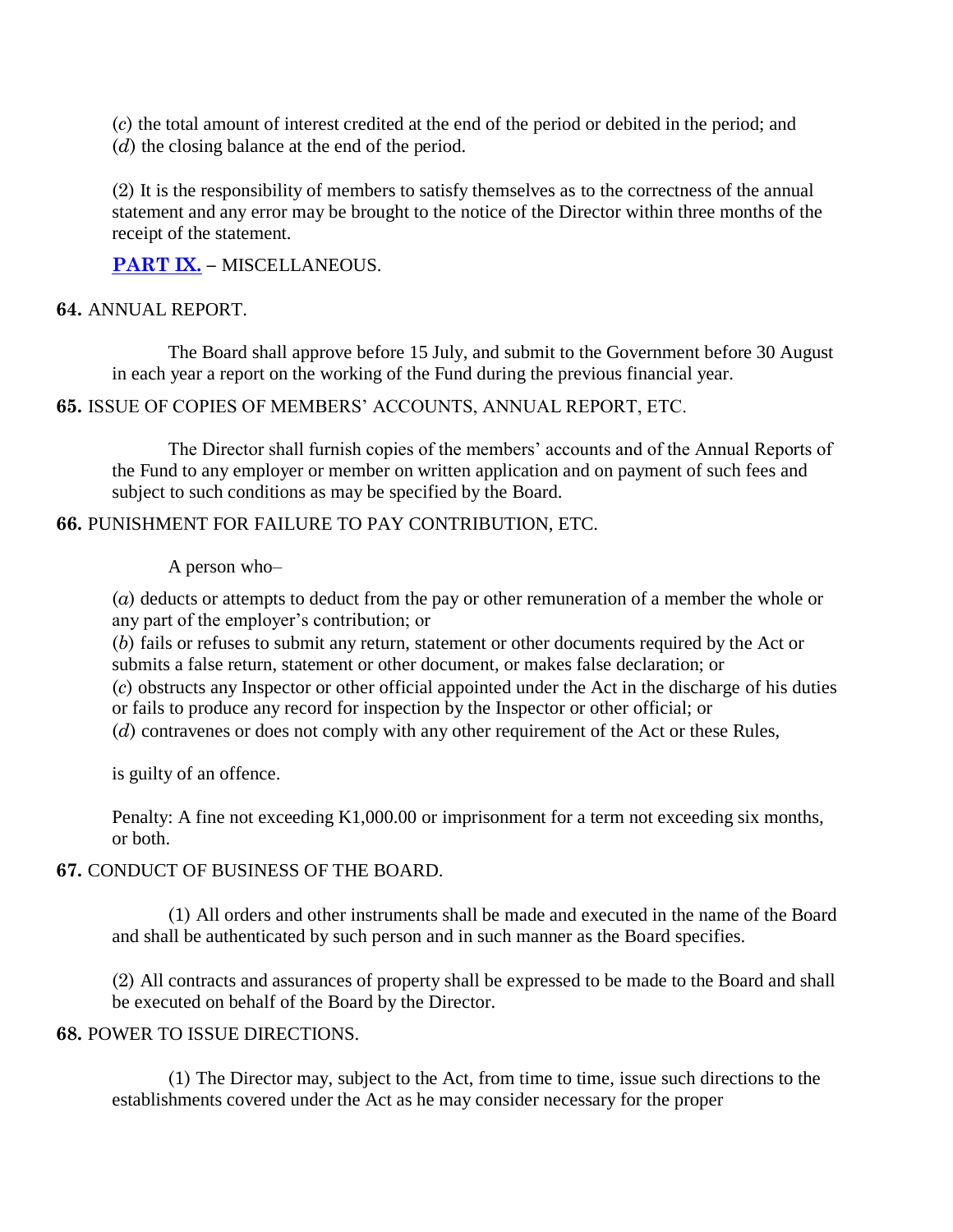(*c*) the total amount of interest credited at the end of the period or debited in the period; and

(*d*) the closing balance at the end of the period.

(2) It is the responsibility of members to satisfy themselves as to the correctness of the annual statement and any error may be brought to the notice of the Director within three months of the receipt of the statement.

**[PART IX.](http://www.paclii.org/pg/legis/consol_act/pha1973126/index.html#p9) –** MISCELLANEOUS.

## **64.** ANNUAL REPORT.

The Board shall approve before 15 July, and submit to the Government before 30 August in each year a report on the working of the Fund during the previous financial year.

**65.** ISSUE OF COPIES OF MEMBERS" ACCOUNTS, ANNUAL REPORT, ETC.

The Director shall furnish copies of the members' accounts and of the Annual Reports of the Fund to any employer or member on written application and on payment of such fees and subject to such conditions as may be specified by the Board.

## **66.** PUNISHMENT FOR FAILURE TO PAY CONTRIBUTION, ETC.

A person who–

(*a*) deducts or attempts to deduct from the pay or other remuneration of a member the whole or any part of the employer's contribution; or

(*b*) fails or refuses to submit any return, statement or other documents required by the Act or submits a false return, statement or other document, or makes false declaration; or

(*c*) obstructs any Inspector or other official appointed under the Act in the discharge of his duties or fails to produce any record for inspection by the Inspector or other official; or

(*d*) contravenes or does not comply with any other requirement of the Act or these Rules,

is guilty of an offence.

Penalty: A fine not exceeding K1,000.00 or imprisonment for a term not exceeding six months, or both.

#### **67.** CONDUCT OF BUSINESS OF THE BOARD.

(1) All orders and other instruments shall be made and executed in the name of the Board and shall be authenticated by such person and in such manner as the Board specifies.

(2) All contracts and assurances of property shall be expressed to be made to the Board and shall be executed on behalf of the Board by the Director.

# **68.** POWER TO ISSUE DIRECTIONS.

(1) The Director may, subject to the Act, from time to time, issue such directions to the establishments covered under the Act as he may consider necessary for the proper